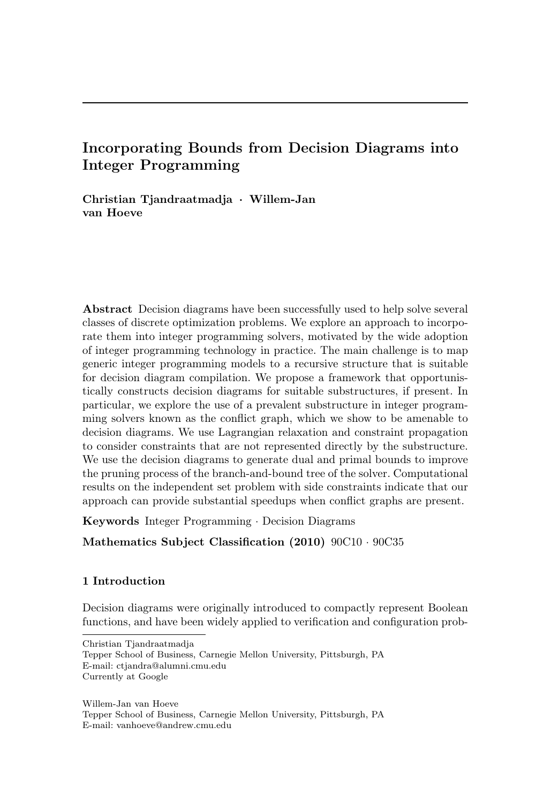# Incorporating Bounds from Decision Diagrams into Integer Programming

Christian Tjandraatmadja · Willem-Jan van Hoeve

Abstract Decision diagrams have been successfully used to help solve several classes of discrete optimization problems. We explore an approach to incorporate them into integer programming solvers, motivated by the wide adoption of integer programming technology in practice. The main challenge is to map generic integer programming models to a recursive structure that is suitable for decision diagram compilation. We propose a framework that opportunistically constructs decision diagrams for suitable substructures, if present. In particular, we explore the use of a prevalent substructure in integer programming solvers known as the conflict graph, which we show to be amenable to decision diagrams. We use Lagrangian relaxation and constraint propagation to consider constraints that are not represented directly by the substructure. We use the decision diagrams to generate dual and primal bounds to improve the pruning process of the branch-and-bound tree of the solver. Computational results on the independent set problem with side constraints indicate that our approach can provide substantial speedups when conflict graphs are present.

Keywords Integer Programming · Decision Diagrams

Mathematics Subject Classification (2010) 90C10 · 90C35

# 1 Introduction

Decision diagrams were originally introduced to compactly represent Boolean functions, and have been widely applied to verification and configuration prob-

Christian Tjandraatmadja

Willem-Jan van Hoeve Tepper School of Business, Carnegie Mellon University, Pittsburgh, PA E-mail: vanhoeve@andrew.cmu.edu

Tepper School of Business, Carnegie Mellon University, Pittsburgh, PA E-mail: ctjandra@alumni.cmu.edu Currently at Google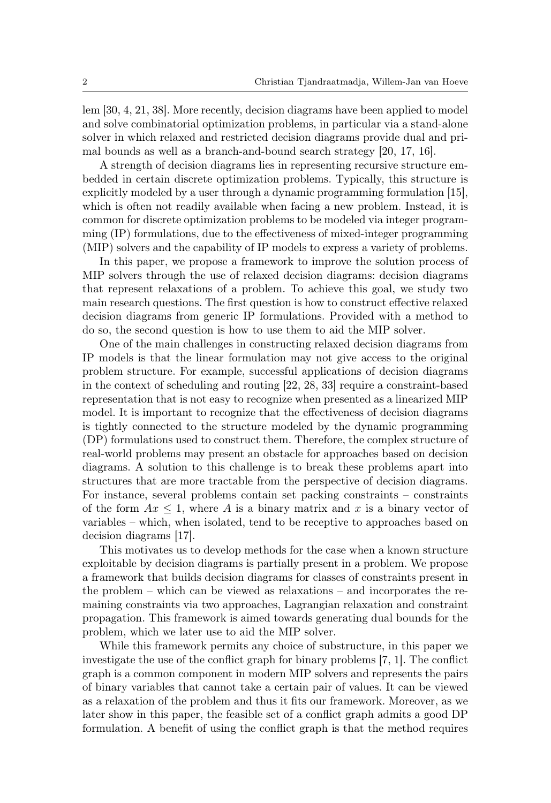lem [30, 4, 21, 38]. More recently, decision diagrams have been applied to model and solve combinatorial optimization problems, in particular via a stand-alone solver in which relaxed and restricted decision diagrams provide dual and primal bounds as well as a branch-and-bound search strategy [20, 17, 16].

A strength of decision diagrams lies in representing recursive structure embedded in certain discrete optimization problems. Typically, this structure is explicitly modeled by a user through a dynamic programming formulation [15], which is often not readily available when facing a new problem. Instead, it is common for discrete optimization problems to be modeled via integer programming (IP) formulations, due to the effectiveness of mixed-integer programming (MIP) solvers and the capability of IP models to express a variety of problems.

In this paper, we propose a framework to improve the solution process of MIP solvers through the use of relaxed decision diagrams: decision diagrams that represent relaxations of a problem. To achieve this goal, we study two main research questions. The first question is how to construct effective relaxed decision diagrams from generic IP formulations. Provided with a method to do so, the second question is how to use them to aid the MIP solver.

One of the main challenges in constructing relaxed decision diagrams from IP models is that the linear formulation may not give access to the original problem structure. For example, successful applications of decision diagrams in the context of scheduling and routing [22, 28, 33] require a constraint-based representation that is not easy to recognize when presented as a linearized MIP model. It is important to recognize that the effectiveness of decision diagrams is tightly connected to the structure modeled by the dynamic programming (DP) formulations used to construct them. Therefore, the complex structure of real-world problems may present an obstacle for approaches based on decision diagrams. A solution to this challenge is to break these problems apart into structures that are more tractable from the perspective of decision diagrams. For instance, several problems contain set packing constraints – constraints of the form  $Ax \leq 1$ , where A is a binary matrix and x is a binary vector of variables – which, when isolated, tend to be receptive to approaches based on decision diagrams [17].

This motivates us to develop methods for the case when a known structure exploitable by decision diagrams is partially present in a problem. We propose a framework that builds decision diagrams for classes of constraints present in the problem – which can be viewed as relaxations – and incorporates the remaining constraints via two approaches, Lagrangian relaxation and constraint propagation. This framework is aimed towards generating dual bounds for the problem, which we later use to aid the MIP solver.

While this framework permits any choice of substructure, in this paper we investigate the use of the conflict graph for binary problems [7, 1]. The conflict graph is a common component in modern MIP solvers and represents the pairs of binary variables that cannot take a certain pair of values. It can be viewed as a relaxation of the problem and thus it fits our framework. Moreover, as we later show in this paper, the feasible set of a conflict graph admits a good DP formulation. A benefit of using the conflict graph is that the method requires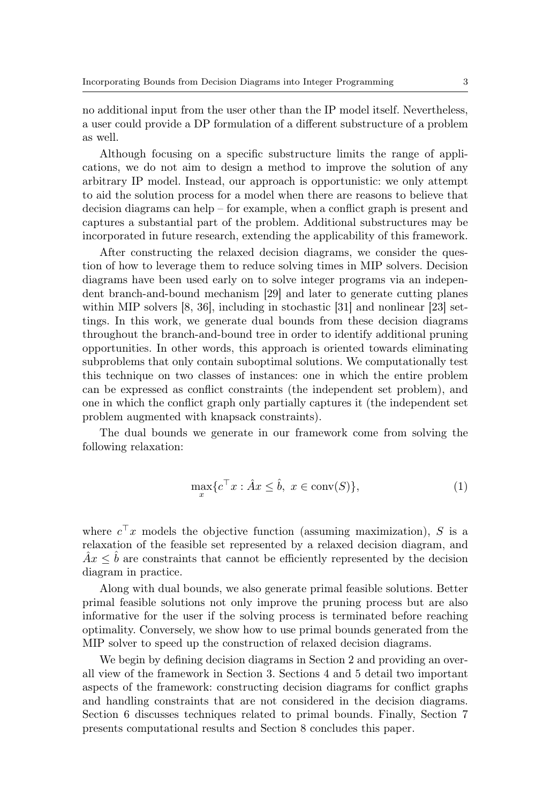no additional input from the user other than the IP model itself. Nevertheless, a user could provide a DP formulation of a different substructure of a problem as well.

Although focusing on a specific substructure limits the range of applications, we do not aim to design a method to improve the solution of any arbitrary IP model. Instead, our approach is opportunistic: we only attempt to aid the solution process for a model when there are reasons to believe that decision diagrams can help – for example, when a conflict graph is present and captures a substantial part of the problem. Additional substructures may be incorporated in future research, extending the applicability of this framework.

After constructing the relaxed decision diagrams, we consider the question of how to leverage them to reduce solving times in MIP solvers. Decision diagrams have been used early on to solve integer programs via an independent branch-and-bound mechanism [29] and later to generate cutting planes within MIP solvers [8, 36], including in stochastic [31] and nonlinear [23] settings. In this work, we generate dual bounds from these decision diagrams throughout the branch-and-bound tree in order to identify additional pruning opportunities. In other words, this approach is oriented towards eliminating subproblems that only contain suboptimal solutions. We computationally test this technique on two classes of instances: one in which the entire problem can be expressed as conflict constraints (the independent set problem), and one in which the conflict graph only partially captures it (the independent set problem augmented with knapsack constraints).

The dual bounds we generate in our framework come from solving the following relaxation:

$$
\max_{x} \{ c^{\top} x : \hat{A} x \le \hat{b}, \ x \in \text{conv}(S) \},\tag{1}
$$

where  $c^{\top}x$  models the objective function (assuming maximization), S is a relaxation of the feasible set represented by a relaxed decision diagram, and  $Ax \leq b$  are constraints that cannot be efficiently represented by the decision diagram in practice.

Along with dual bounds, we also generate primal feasible solutions. Better primal feasible solutions not only improve the pruning process but are also informative for the user if the solving process is terminated before reaching optimality. Conversely, we show how to use primal bounds generated from the MIP solver to speed up the construction of relaxed decision diagrams.

We begin by defining decision diagrams in Section 2 and providing an overall view of the framework in Section 3. Sections 4 and 5 detail two important aspects of the framework: constructing decision diagrams for conflict graphs and handling constraints that are not considered in the decision diagrams. Section 6 discusses techniques related to primal bounds. Finally, Section 7 presents computational results and Section 8 concludes this paper.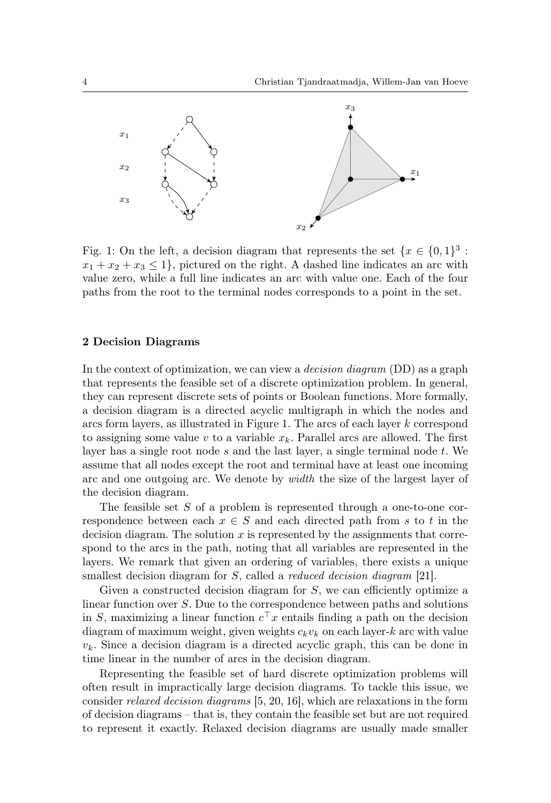

Fig. 1: On the left, a decision diagram that represents the set  $\{x \in \{0,1\}^3$ :  $x_1 + x_2 + x_3 \leq 1$ , pictured on the right. A dashed line indicates an arc with value zero, while a full line indicates an arc with value one. Each of the four paths from the root to the terminal nodes corresponds to a point in the set.

## 2 Decision Diagrams

In the context of optimization, we can view a *decision diagram* (DD) as a graph that represents the feasible set of a discrete optimization problem. In general, they can represent discrete sets of points or Boolean functions. More formally, a decision diagram is a directed acyclic multigraph in which the nodes and arcs form layers, as illustrated in Figure 1. The arcs of each layer k correspond to assigning some value v to a variable  $x_k$ . Parallel arcs are allowed. The first layer has a single root node s and the last layer, a single terminal node  $t$ . We assume that all nodes except the root and terminal have at least one incoming arc and one outgoing arc. We denote by width the size of the largest layer of the decision diagram.

The feasible set S of a problem is represented through a one-to-one correspondence between each  $x \in S$  and each directed path from s to t in the decision diagram. The solution x is represented by the assignments that correspond to the arcs in the path, noting that all variables are represented in the layers. We remark that given an ordering of variables, there exists a unique smallest decision diagram for S, called a *reduced decision diagram* [21].

Given a constructed decision diagram for  $S$ , we can efficiently optimize a linear function over S. Due to the correspondence between paths and solutions in S, maximizing a linear function  $c^{\top}x$  entails finding a path on the decision diagram of maximum weight, given weights  $c_kv_k$  on each layer-k arc with value  $v_k$ . Since a decision diagram is a directed acyclic graph, this can be done in time linear in the number of arcs in the decision diagram.

Representing the feasible set of hard discrete optimization problems will often result in impractically large decision diagrams. To tackle this issue, we consider relaxed decision diagrams [5, 20, 16], which are relaxations in the form of decision diagrams – that is, they contain the feasible set but are not required to represent it exactly. Relaxed decision diagrams are usually made smaller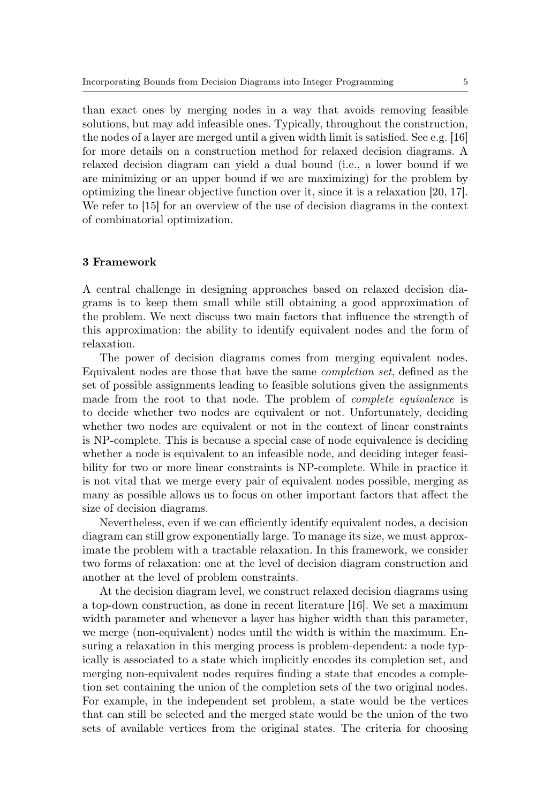than exact ones by merging nodes in a way that avoids removing feasible solutions, but may add infeasible ones. Typically, throughout the construction, the nodes of a layer are merged until a given width limit is satisfied. See e.g. [16] for more details on a construction method for relaxed decision diagrams. A relaxed decision diagram can yield a dual bound (i.e., a lower bound if we are minimizing or an upper bound if we are maximizing) for the problem by optimizing the linear objective function over it, since it is a relaxation [20, 17]. We refer to [15] for an overview of the use of decision diagrams in the context of combinatorial optimization.

## 3 Framework

A central challenge in designing approaches based on relaxed decision diagrams is to keep them small while still obtaining a good approximation of the problem. We next discuss two main factors that influence the strength of this approximation: the ability to identify equivalent nodes and the form of relaxation.

The power of decision diagrams comes from merging equivalent nodes. Equivalent nodes are those that have the same completion set, defined as the set of possible assignments leading to feasible solutions given the assignments made from the root to that node. The problem of *complete equivalence* is to decide whether two nodes are equivalent or not. Unfortunately, deciding whether two nodes are equivalent or not in the context of linear constraints is NP-complete. This is because a special case of node equivalence is deciding whether a node is equivalent to an infeasible node, and deciding integer feasibility for two or more linear constraints is NP-complete. While in practice it is not vital that we merge every pair of equivalent nodes possible, merging as many as possible allows us to focus on other important factors that affect the size of decision diagrams.

Nevertheless, even if we can efficiently identify equivalent nodes, a decision diagram can still grow exponentially large. To manage its size, we must approximate the problem with a tractable relaxation. In this framework, we consider two forms of relaxation: one at the level of decision diagram construction and another at the level of problem constraints.

At the decision diagram level, we construct relaxed decision diagrams using a top-down construction, as done in recent literature [16]. We set a maximum width parameter and whenever a layer has higher width than this parameter, we merge (non-equivalent) nodes until the width is within the maximum. Ensuring a relaxation in this merging process is problem-dependent: a node typically is associated to a state which implicitly encodes its completion set, and merging non-equivalent nodes requires finding a state that encodes a completion set containing the union of the completion sets of the two original nodes. For example, in the independent set problem, a state would be the vertices that can still be selected and the merged state would be the union of the two sets of available vertices from the original states. The criteria for choosing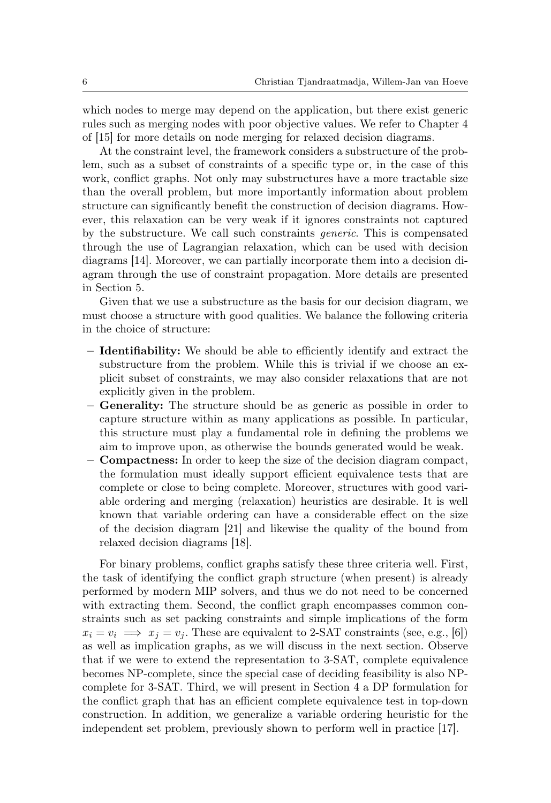which nodes to merge may depend on the application, but there exist generic rules such as merging nodes with poor objective values. We refer to Chapter 4 of [15] for more details on node merging for relaxed decision diagrams.

At the constraint level, the framework considers a substructure of the problem, such as a subset of constraints of a specific type or, in the case of this work, conflict graphs. Not only may substructures have a more tractable size than the overall problem, but more importantly information about problem structure can significantly benefit the construction of decision diagrams. However, this relaxation can be very weak if it ignores constraints not captured by the substructure. We call such constraints generic. This is compensated through the use of Lagrangian relaxation, which can be used with decision diagrams [14]. Moreover, we can partially incorporate them into a decision diagram through the use of constraint propagation. More details are presented in Section 5.

Given that we use a substructure as the basis for our decision diagram, we must choose a structure with good qualities. We balance the following criteria in the choice of structure:

- Identifiability: We should be able to efficiently identify and extract the substructure from the problem. While this is trivial if we choose an explicit subset of constraints, we may also consider relaxations that are not explicitly given in the problem.
- Generality: The structure should be as generic as possible in order to capture structure within as many applications as possible. In particular, this structure must play a fundamental role in defining the problems we aim to improve upon, as otherwise the bounds generated would be weak.
- Compactness: In order to keep the size of the decision diagram compact, the formulation must ideally support efficient equivalence tests that are complete or close to being complete. Moreover, structures with good variable ordering and merging (relaxation) heuristics are desirable. It is well known that variable ordering can have a considerable effect on the size of the decision diagram [21] and likewise the quality of the bound from relaxed decision diagrams [18].

For binary problems, conflict graphs satisfy these three criteria well. First, the task of identifying the conflict graph structure (when present) is already performed by modern MIP solvers, and thus we do not need to be concerned with extracting them. Second, the conflict graph encompasses common constraints such as set packing constraints and simple implications of the form  $x_i = v_i \implies x_j = v_j$ . These are equivalent to 2-SAT constraints (see, e.g., [6]) as well as implication graphs, as we will discuss in the next section. Observe that if we were to extend the representation to 3-SAT, complete equivalence becomes NP-complete, since the special case of deciding feasibility is also NPcomplete for 3-SAT. Third, we will present in Section 4 a DP formulation for the conflict graph that has an efficient complete equivalence test in top-down construction. In addition, we generalize a variable ordering heuristic for the independent set problem, previously shown to perform well in practice [17].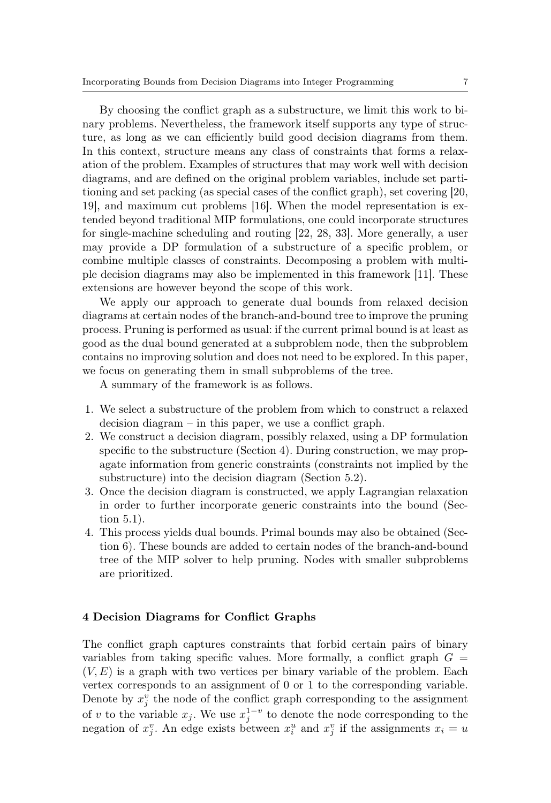By choosing the conflict graph as a substructure, we limit this work to binary problems. Nevertheless, the framework itself supports any type of structure, as long as we can efficiently build good decision diagrams from them. In this context, structure means any class of constraints that forms a relaxation of the problem. Examples of structures that may work well with decision diagrams, and are defined on the original problem variables, include set partitioning and set packing (as special cases of the conflict graph), set covering [20, 19], and maximum cut problems [16]. When the model representation is extended beyond traditional MIP formulations, one could incorporate structures for single-machine scheduling and routing [22, 28, 33]. More generally, a user may provide a DP formulation of a substructure of a specific problem, or combine multiple classes of constraints. Decomposing a problem with multiple decision diagrams may also be implemented in this framework [11]. These extensions are however beyond the scope of this work.

We apply our approach to generate dual bounds from relaxed decision diagrams at certain nodes of the branch-and-bound tree to improve the pruning process. Pruning is performed as usual: if the current primal bound is at least as good as the dual bound generated at a subproblem node, then the subproblem contains no improving solution and does not need to be explored. In this paper, we focus on generating them in small subproblems of the tree.

A summary of the framework is as follows.

- 1. We select a substructure of the problem from which to construct a relaxed decision diagram – in this paper, we use a conflict graph.
- 2. We construct a decision diagram, possibly relaxed, using a DP formulation specific to the substructure (Section 4). During construction, we may propagate information from generic constraints (constraints not implied by the substructure) into the decision diagram (Section 5.2).
- 3. Once the decision diagram is constructed, we apply Lagrangian relaxation in order to further incorporate generic constraints into the bound (Section 5.1).
- 4. This process yields dual bounds. Primal bounds may also be obtained (Section 6). These bounds are added to certain nodes of the branch-and-bound tree of the MIP solver to help pruning. Nodes with smaller subproblems are prioritized.

## 4 Decision Diagrams for Conflict Graphs

The conflict graph captures constraints that forbid certain pairs of binary variables from taking specific values. More formally, a conflict graph  $G =$  $(V, E)$  is a graph with two vertices per binary variable of the problem. Each vertex corresponds to an assignment of 0 or 1 to the corresponding variable. Denote by  $x_j^v$  the node of the conflict graph corresponding to the assignment of v to the variable  $x_j$ . We use  $x_j^{1-v}$  to denote the node corresponding to the negation of  $x_j^v$ . An edge exists between  $x_i^u$  and  $x_j^v$  if the assignments  $x_i = u$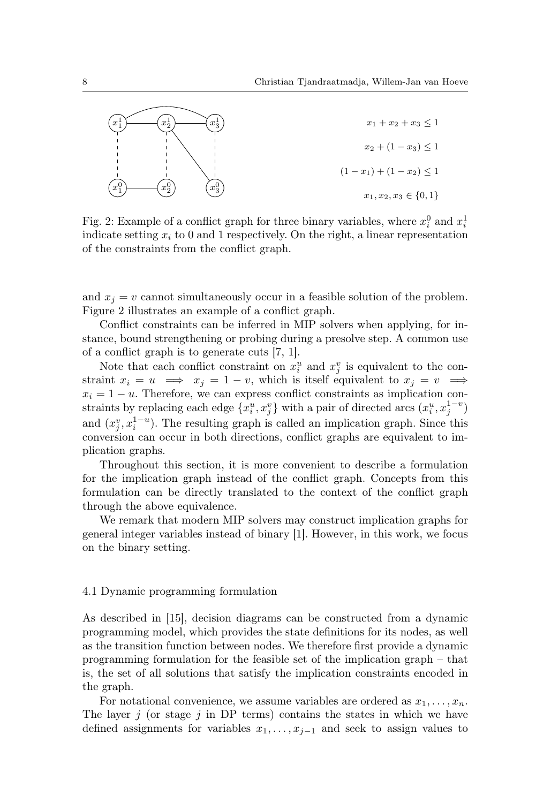

Fig. 2: Example of a conflict graph for three binary variables, where  $x_i^0$  and  $x_i^1$ indicate setting  $x_i$  to 0 and 1 respectively. On the right, a linear representation of the constraints from the conflict graph.

and  $x_j = v$  cannot simultaneously occur in a feasible solution of the problem. Figure 2 illustrates an example of a conflict graph.

Conflict constraints can be inferred in MIP solvers when applying, for instance, bound strengthening or probing during a presolve step. A common use of a conflict graph is to generate cuts [7, 1].

Note that each conflict constraint on  $x_i^u$  and  $x_j^v$  is equivalent to the constraint  $x_i = u \implies x_j = 1 - v$ , which is itself equivalent to  $x_j = v \implies$  $x_i = 1 - u$ . Therefore, we can express conflict constraints as implication constraints by replacing each edge  $\{x_i^u, x_j^v\}$  with a pair of directed arcs  $(x_i^u, x_j^{1-v})$ and  $(x_j^v, x_i^{1-u})$ . The resulting graph is called an implication graph. Since this conversion can occur in both directions, conflict graphs are equivalent to implication graphs.

Throughout this section, it is more convenient to describe a formulation for the implication graph instead of the conflict graph. Concepts from this formulation can be directly translated to the context of the conflict graph through the above equivalence.

We remark that modern MIP solvers may construct implication graphs for general integer variables instead of binary [1]. However, in this work, we focus on the binary setting.

# 4.1 Dynamic programming formulation

As described in [15], decision diagrams can be constructed from a dynamic programming model, which provides the state definitions for its nodes, as well as the transition function between nodes. We therefore first provide a dynamic programming formulation for the feasible set of the implication graph – that is, the set of all solutions that satisfy the implication constraints encoded in the graph.

For notational convenience, we assume variables are ordered as  $x_1, \ldots, x_n$ . The layer  $j$  (or stage  $j$  in DP terms) contains the states in which we have defined assignments for variables  $x_1, \ldots, x_{i-1}$  and seek to assign values to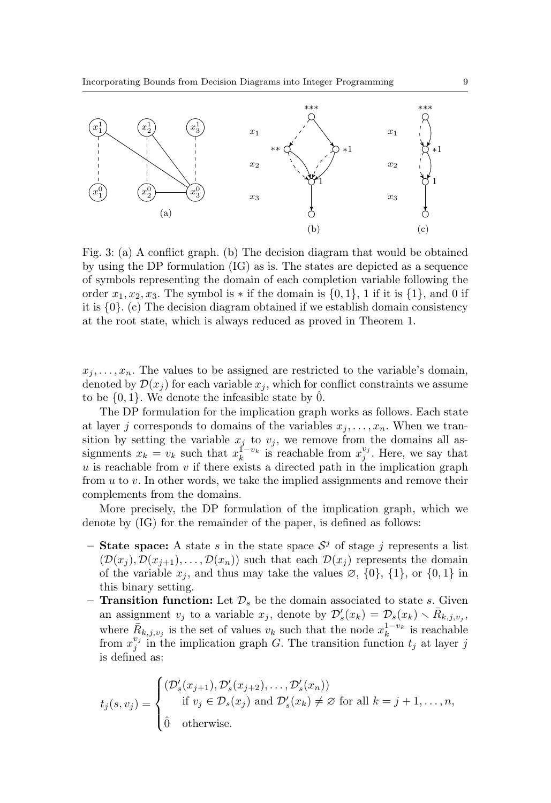

Fig. 3: (a) A conflict graph. (b) The decision diagram that would be obtained by using the DP formulation (IG) as is. The states are depicted as a sequence of symbols representing the domain of each completion variable following the order  $x_1, x_2, x_3$ . The symbol is  $*$  if the domain is  $\{0, 1\}$ , 1 if it is  $\{1\}$ , and 0 if it is  $\{0\}$ . (c) The decision diagram obtained if we establish domain consistency at the root state, which is always reduced as proved in Theorem 1.

 $x_j, \ldots, x_n$ . The values to be assigned are restricted to the variable's domain, denoted by  $\mathcal{D}(x_j)$  for each variable  $x_j$ , which for conflict constraints we assume to be  $\{0,1\}$ . We denote the infeasible state by 0.

The DP formulation for the implication graph works as follows. Each state at layer j corresponds to domains of the variables  $x_j, \ldots, x_n$ . When we transition by setting the variable  $x_j$  to  $v_j$ , we remove from the domains all assignments  $x_k = v_k$  such that  $x_k^{1-v_k}$  is reachable from  $x_j^{v_j}$ . Here, we say that  $u$  is reachable from  $v$  if there exists a directed path in the implication graph from  $u$  to  $v$ . In other words, we take the implied assignments and remove their complements from the domains.

More precisely, the DP formulation of the implication graph, which we denote by (IG) for the remainder of the paper, is defined as follows:

- State space: A state s in the state space  $S<sup>j</sup>$  of stage j represents a list  $(\mathcal{D}(x_i), \mathcal{D}(x_{i+1}), \ldots, \mathcal{D}(x_n))$  such that each  $\mathcal{D}(x_i)$  represents the domain of the variable  $x_j$ , and thus may take the values  $\emptyset$ ,  $\{0\}$ ,  $\{1\}$ , or  $\{0,1\}$  in this binary setting.
- **Transition function:** Let  $\mathcal{D}_s$  be the domain associated to state s. Given an assignment  $v_j$  to a variable  $x_j$ , denote by  $\mathcal{D}'_s(x_k) = \mathcal{D}_s(x_k) \setminus \overline{R}_{k,j,v_j}$ , where  $\bar{R}_{k,j,v_j}$  is the set of values  $v_k$  such that the node  $x_k^{1-v_k}$  is reachable from  $x_j^{v_j}$  in the implication graph G. The transition function  $t_j$  at layer j is defined as:

$$
t_j(s, v_j) = \begin{cases} \n(\mathcal{D}'_s(x_{j+1}), \mathcal{D}'_s(x_{j+2}), \dots, \mathcal{D}'_s(x_n)) \\ \n\text{if } v_j \in \mathcal{D}_s(x_j) \text{ and } \mathcal{D}'_s(x_k) \neq \emptyset \text{ for all } k = j+1, \dots, n, \\ \n\hat{0} \quad \text{otherwise.} \n\end{cases}
$$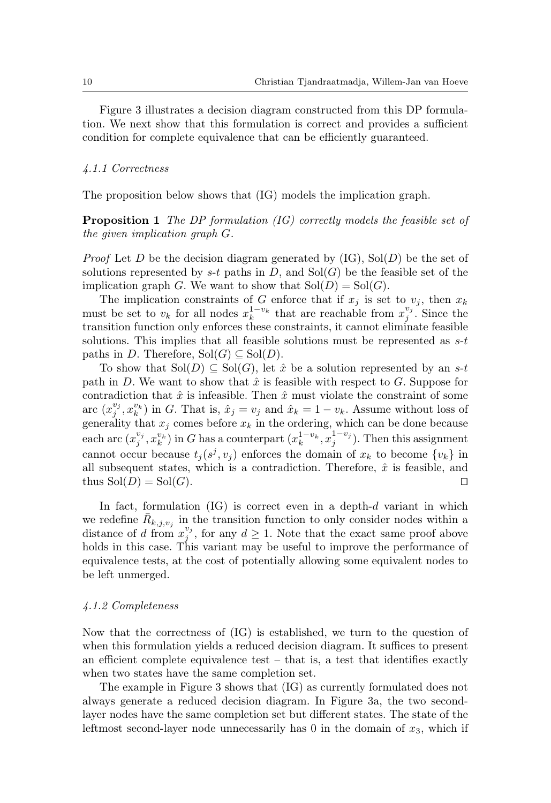Figure 3 illustrates a decision diagram constructed from this DP formulation. We next show that this formulation is correct and provides a sufficient condition for complete equivalence that can be efficiently guaranteed.

# 4.1.1 Correctness

The proposition below shows that (IG) models the implication graph.

**Proposition 1** The DP formulation (IG) correctly models the feasible set of the given implication graph G.

*Proof* Let D be the decision diagram generated by  $(\text{IG})$ , Sol $(D)$  be the set of solutions represented by s-t paths in D, and  $Sol(G)$  be the feasible set of the implication graph G. We want to show that  $Sol(D) = Sol(G)$ .

The implication constraints of G enforce that if  $x_j$  is set to  $v_j$ , then  $x_k$ must be set to  $v_k$  for all nodes  $x_k^{1-v_k}$  that are reachable from  $x_j^{v_j}$ . Since the transition function only enforces these constraints, it cannot eliminate feasible solutions. This implies that all feasible solutions must be represented as  $s$ -t paths in D. Therefore,  $Sol(G) \subseteq Sol(D)$ .

To show that  $Sol(D) \subseteq Sol(G)$ , let  $\hat{x}$  be a solution represented by an s-t path in D. We want to show that  $\hat{x}$  is feasible with respect to G. Suppose for contradiction that  $\hat{x}$  is infeasible. Then  $\hat{x}$  must violate the constraint of some arc  $(x_j^{v_j}, x_k^{v_k})$  in G. That is,  $\hat{x}_j = v_j$  and  $\hat{x}_k = 1 - v_k$ . Assume without loss of generality that  $x_i$  comes before  $x_k$  in the ordering, which can be done because each arc  $(x_j^{v_j}, x_k^{v_k})$  in G has a counterpart  $(x_k^{1-v_k}, x_j^{1-v_j})$ . Then this assignment cannot occur because  $t_j(s^j, v_j)$  enforces the domain of  $x_k$  to become  $\{v_k\}$  in all subsequent states, which is a contradiction. Therefore,  $\hat{x}$  is feasible, and thus  $Sol(D) = Sol(G)$ .

In fact, formulation  $(IG)$  is correct even in a depth- $d$  variant in which we redefine  $\bar{R}_{k,j,v_j}$  in the transition function to only consider nodes within a distance of d from  $x_j^{v_j}$ , for any  $d \geq 1$ . Note that the exact same proof above holds in this case. This variant may be useful to improve the performance of equivalence tests, at the cost of potentially allowing some equivalent nodes to be left unmerged.

#### 4.1.2 Completeness

Now that the correctness of (IG) is established, we turn to the question of when this formulation yields a reduced decision diagram. It suffices to present an efficient complete equivalence test – that is, a test that identifies exactly when two states have the same completion set.

The example in Figure 3 shows that (IG) as currently formulated does not always generate a reduced decision diagram. In Figure 3a, the two secondlayer nodes have the same completion set but different states. The state of the leftmost second-layer node unnecessarily has  $0$  in the domain of  $x_3$ , which if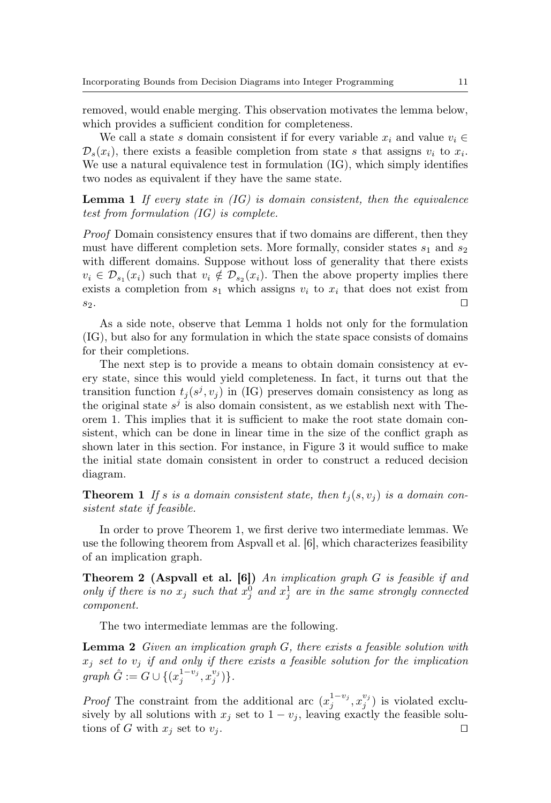removed, would enable merging. This observation motivates the lemma below, which provides a sufficient condition for completeness.

We call a state s domain consistent if for every variable  $x_i$  and value  $v_i \in$  $\mathcal{D}_s(x_i)$ , there exists a feasible completion from state s that assigns  $v_i$  to  $x_i$ . We use a natural equivalence test in formulation  $(IG)$ , which simply identifies two nodes as equivalent if they have the same state.

**Lemma 1** If every state in  $(IG)$  is domain consistent, then the equivalence test from formulation (IG) is complete.

Proof Domain consistency ensures that if two domains are different, then they must have different completion sets. More formally, consider states  $s_1$  and  $s_2$ with different domains. Suppose without loss of generality that there exists  $v_i \in \mathcal{D}_{s_1}(x_i)$  such that  $v_i \notin \mathcal{D}_{s_2}(x_i)$ . Then the above property implies there exists a completion from  $s_1$  which assigns  $v_i$  to  $x_i$  that does not exist from  $s_2$ .

As a side note, observe that Lemma 1 holds not only for the formulation (IG), but also for any formulation in which the state space consists of domains for their completions.

The next step is to provide a means to obtain domain consistency at every state, since this would yield completeness. In fact, it turns out that the transition function  $t_j(s^j, v_j)$  in (IG) preserves domain consistency as long as the original state  $s^j$  is also domain consistent, as we establish next with Theorem 1. This implies that it is sufficient to make the root state domain consistent, which can be done in linear time in the size of the conflict graph as shown later in this section. For instance, in Figure 3 it would suffice to make the initial state domain consistent in order to construct a reduced decision diagram.

**Theorem 1** If s is a domain consistent state, then  $t_i(s, v_i)$  is a domain consistent state if feasible.

In order to prove Theorem 1, we first derive two intermediate lemmas. We use the following theorem from Aspvall et al. [6], which characterizes feasibility of an implication graph.

**Theorem 2 (Aspvall et al. [6])** An implication graph G is feasible if and only if there is no  $x_j$  such that  $x_j^0$  and  $x_j^1$  are in the same strongly connected component.

The two intermediate lemmas are the following.

**Lemma 2** Given an implication graph  $G$ , there exists a feasible solution with  $x_i$  set to  $v_i$  if and only if there exists a feasible solution for the implication graph  $\hat{G} := G \cup \{(x_j^{1-v_j}, x_j^{v_j})\}.$ 

*Proof* The constraint from the additional arc  $(x_j^{1-v_j}, x_j^{v_j})$  is violated exclusively by all solutions with  $x_j$  set to  $1 - v_j$ , leaving exactly the feasible solutions of G with  $x_j$  set to  $v_j$ .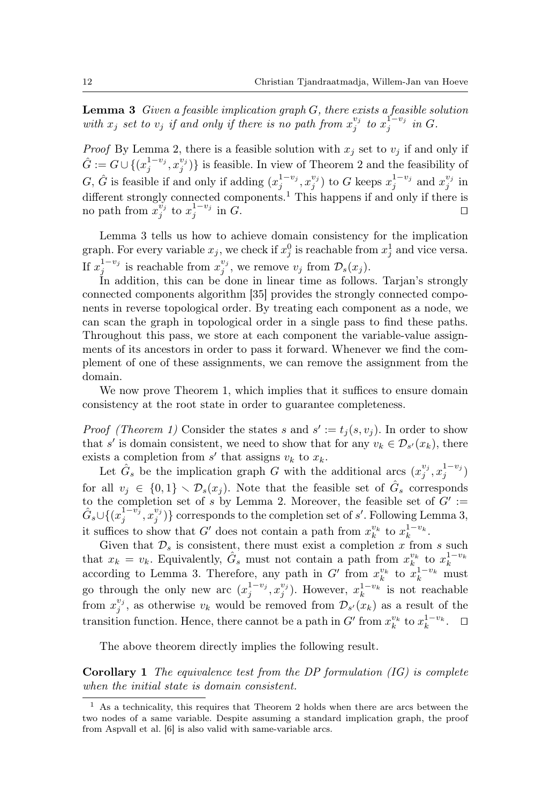**Lemma 3** Given a feasible implication graph  $G$ , there exists a feasible solution with  $x_j$  set to  $v_j$  if and only if there is no path from  $x_j^{v_j}$  to  $x_j^{1-v_j}$  in G.

*Proof* By Lemma 2, there is a feasible solution with  $x_i$  set to  $v_i$  if and only if  $\hat{G} := G \cup \{(x_j^{1-v_j}, x_j^{v_j})\}$  is feasible. In view of Theorem 2 and the feasibility of G,  $\hat{G}$  is feasible if and only if adding  $(x_j^{1-v_j}, x_j^{v_j})$  to G keeps  $x_j^{1-v_j}$  and  $x_j^{v_j}$  in different strongly connected components.<sup>1</sup> This happens if and only if there is no path from  $x_j^{v_j}$  to  $x_j^{1-v_j}$  in G.

Lemma 3 tells us how to achieve domain consistency for the implication graph. For every variable  $x_j$ , we check if  $x_j^0$  is reachable from  $x_j^1$  and vice versa. If  $x_j^{1-v_j}$  is reachable from  $x_j^{v_j}$ , we remove  $v_j$  from  $\mathcal{D}_s(x_j)$ .

In addition, this can be done in linear time as follows. Tarjan's strongly connected components algorithm [35] provides the strongly connected components in reverse topological order. By treating each component as a node, we can scan the graph in topological order in a single pass to find these paths. Throughout this pass, we store at each component the variable-value assignments of its ancestors in order to pass it forward. Whenever we find the complement of one of these assignments, we can remove the assignment from the domain.

We now prove Theorem 1, which implies that it suffices to ensure domain consistency at the root state in order to guarantee completeness.

*Proof (Theorem 1)* Consider the states s and  $s' := t_j(s, v_j)$ . In order to show that s' is domain consistent, we need to show that for any  $v_k \in \mathcal{D}_{s'}(x_k)$ , there exists a completion from  $s'$  that assigns  $v_k$  to  $x_k$ .

Let  $\hat{G}_s$  be the implication graph G with the additional arcs  $(x_j^{v_j}, x_j^{1-v_j})$ for all  $v_j \in \{0,1\} \setminus \mathcal{D}_s(x_j)$ . Note that the feasible set of  $\hat{G}_s$  corresponds to the completion set of s by Lemma 2. Moreover, the feasible set of  $G' :=$  $\hat{G}_s \cup \{(x_j^{1-v_j^*}, x_j^{v_j})\}$  corresponds to the completion set of  $s'$ . Following Lemma 3, it suffices to show that G' does not contain a path from  $x_k^{v_k}$  to  $x_k^{1-v_k}$ .

Given that  $\mathcal{D}_s$  is consistent, there must exist a completion x from s such that  $x_k = v_k$ . Equivalently,  $\hat{G}_s$  must not contain a path from  $x_k^{v_k}$  to  $x_k^{1-v_k}$ according to Lemma 3. Therefore, any path in  $G'$  from  $x_k^{v_k}$  to  $x_k^{1-v_k}$  must go through the only new arc  $(x_j^{1-v_j}, x_j^{v_j})$ . However,  $x_k^{1-v_k}$  is not reachable from  $x_j^{v_j}$ , as otherwise  $v_k$  would be removed from  $\mathcal{D}_{s'}(x_k)$  as a result of the transition function. Hence, there cannot be a path in G' from  $x_k^{v_k}$  to  $x_k^{1-v_k}$ .  $\Box$ 

The above theorem directly implies the following result.

**Corollary 1** The equivalence test from the DP formulation  $(IG)$  is complete when the initial state is domain consistent.

<sup>1</sup> As a technicality, this requires that Theorem 2 holds when there are arcs between the two nodes of a same variable. Despite assuming a standard implication graph, the proof from Aspvall et al. [6] is also valid with same-variable arcs.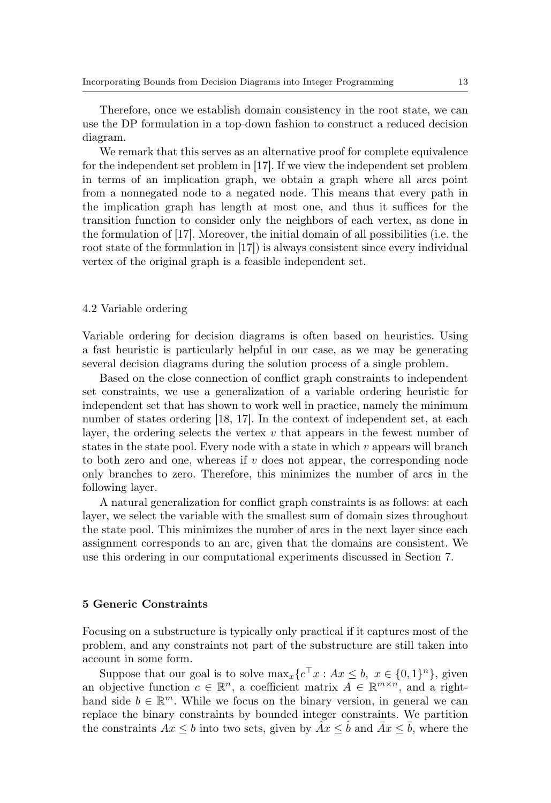Therefore, once we establish domain consistency in the root state, we can use the DP formulation in a top-down fashion to construct a reduced decision diagram.

We remark that this serves as an alternative proof for complete equivalence for the independent set problem in [17]. If we view the independent set problem in terms of an implication graph, we obtain a graph where all arcs point from a nonnegated node to a negated node. This means that every path in the implication graph has length at most one, and thus it suffices for the transition function to consider only the neighbors of each vertex, as done in the formulation of [17]. Moreover, the initial domain of all possibilities (i.e. the root state of the formulation in [17]) is always consistent since every individual vertex of the original graph is a feasible independent set.

## 4.2 Variable ordering

Variable ordering for decision diagrams is often based on heuristics. Using a fast heuristic is particularly helpful in our case, as we may be generating several decision diagrams during the solution process of a single problem.

Based on the close connection of conflict graph constraints to independent set constraints, we use a generalization of a variable ordering heuristic for independent set that has shown to work well in practice, namely the minimum number of states ordering [18, 17]. In the context of independent set, at each layer, the ordering selects the vertex  $v$  that appears in the fewest number of states in the state pool. Every node with a state in which  $v$  appears will branch to both zero and one, whereas if  $v$  does not appear, the corresponding node only branches to zero. Therefore, this minimizes the number of arcs in the following layer.

A natural generalization for conflict graph constraints is as follows: at each layer, we select the variable with the smallest sum of domain sizes throughout the state pool. This minimizes the number of arcs in the next layer since each assignment corresponds to an arc, given that the domains are consistent. We use this ordering in our computational experiments discussed in Section 7.

## 5 Generic Constraints

Focusing on a substructure is typically only practical if it captures most of the problem, and any constraints not part of the substructure are still taken into account in some form.

Suppose that our goal is to solve  $\max_x \{c^\top x : Ax \leq b, x \in \{0,1\}^n\}$ , given an objective function  $c \in \mathbb{R}^n$ , a coefficient matrix  $A \in \mathbb{R}^{m \times n}$ , and a righthand side  $b \in \mathbb{R}^m$ . While we focus on the binary version, in general we can replace the binary constraints by bounded integer constraints. We partition the constraints  $Ax \leq b$  into two sets, given by  $Ax \leq b$  and  $\overline{A}x \leq \overline{b}$ , where the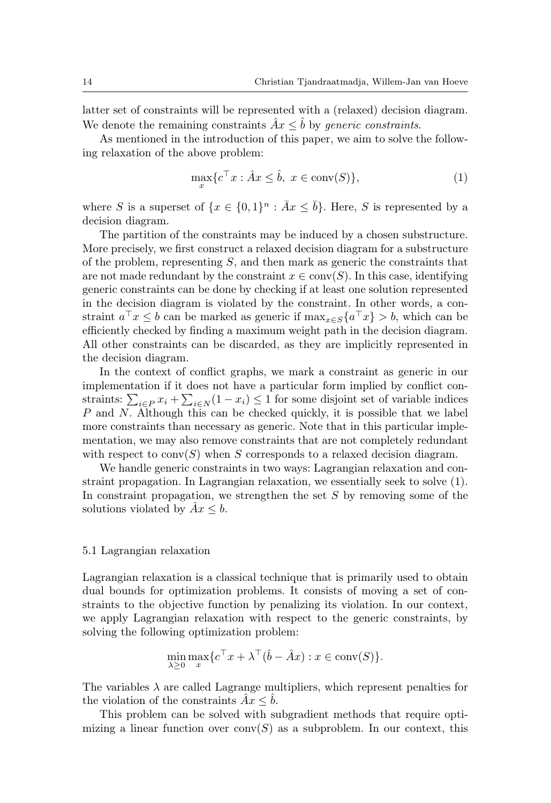latter set of constraints will be represented with a (relaxed) decision diagram. We denote the remaining constraints  $\hat{A}x \leq \hat{b}$  by *generic constraints*.

As mentioned in the introduction of this paper, we aim to solve the following relaxation of the above problem:

$$
\max_{x} \{ c^{\top} x : \hat{A} x \le \hat{b}, \ x \in \text{conv}(S) \},\tag{1}
$$

where S is a superset of  $\{x \in \{0,1\}^n : \overline{A}x \leq \overline{b}\}$ . Here, S is represented by a decision diagram.

The partition of the constraints may be induced by a chosen substructure. More precisely, we first construct a relaxed decision diagram for a substructure of the problem, representing  $S$ , and then mark as generic the constraints that are not made redundant by the constraint  $x \in \text{conv}(S)$ . In this case, identifying generic constraints can be done by checking if at least one solution represented in the decision diagram is violated by the constraint. In other words, a constraint  $a^{\top} x \leq b$  can be marked as generic if  $\max_{x \in S} \{a^{\top} x\} > b$ , which can be efficiently checked by finding a maximum weight path in the decision diagram. All other constraints can be discarded, as they are implicitly represented in the decision diagram.

In the context of conflict graphs, we mark a constraint as generic in our implementation if it does not have a particular form implied by conflict constraints:  $\sum_{i \in P} x_i + \sum_{i \in N} (1 - x_i) \leq 1$  for some disjoint set of variable indices P and N. Although this can be checked quickly, it is possible that we label more constraints than necessary as generic. Note that in this particular implementation, we may also remove constraints that are not completely redundant with respect to conv $(S)$  when S corresponds to a relaxed decision diagram.

We handle generic constraints in two ways: Lagrangian relaxation and constraint propagation. In Lagrangian relaxation, we essentially seek to solve (1). In constraint propagation, we strengthen the set  $S$  by removing some of the solutions violated by  $Ax \leq b$ .

#### 5.1 Lagrangian relaxation

Lagrangian relaxation is a classical technique that is primarily used to obtain dual bounds for optimization problems. It consists of moving a set of constraints to the objective function by penalizing its violation. In our context, we apply Lagrangian relaxation with respect to the generic constraints, by solving the following optimization problem:

$$
\min_{\lambda \ge 0} \max_{x} \{ c^{\top} x + \lambda^{\top} (\hat{b} - \hat{A}x) : x \in \text{conv}(S) \}.
$$

The variables  $\lambda$  are called Lagrange multipliers, which represent penalties for the violation of the constraints  $Ax \leq \hat{b}$ .

This problem can be solved with subgradient methods that require optimizing a linear function over  $conv(S)$  as a subproblem. In our context, this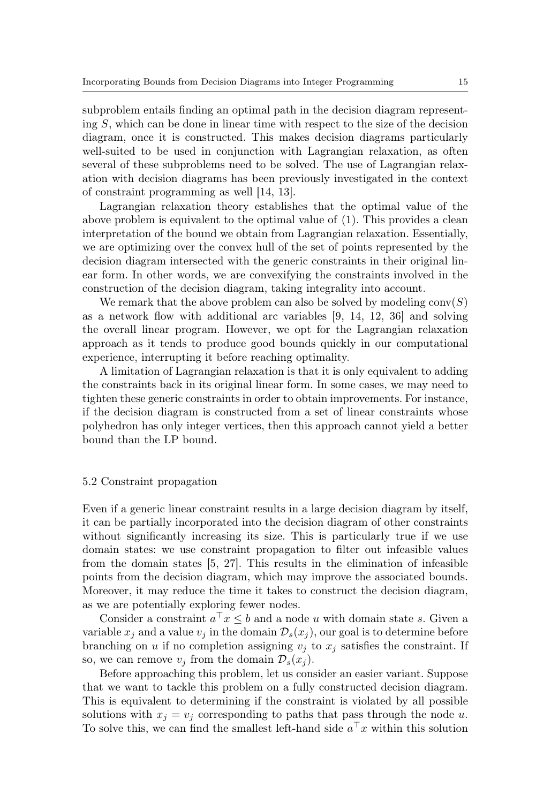subproblem entails finding an optimal path in the decision diagram representing  $S$ , which can be done in linear time with respect to the size of the decision diagram, once it is constructed. This makes decision diagrams particularly well-suited to be used in conjunction with Lagrangian relaxation, as often several of these subproblems need to be solved. The use of Lagrangian relaxation with decision diagrams has been previously investigated in the context of constraint programming as well [14, 13].

Lagrangian relaxation theory establishes that the optimal value of the above problem is equivalent to the optimal value of (1). This provides a clean interpretation of the bound we obtain from Lagrangian relaxation. Essentially, we are optimizing over the convex hull of the set of points represented by the decision diagram intersected with the generic constraints in their original linear form. In other words, we are convexifying the constraints involved in the construction of the decision diagram, taking integrality into account.

We remark that the above problem can also be solved by modeling  $conv(S)$ as a network flow with additional arc variables [9, 14, 12, 36] and solving the overall linear program. However, we opt for the Lagrangian relaxation approach as it tends to produce good bounds quickly in our computational experience, interrupting it before reaching optimality.

A limitation of Lagrangian relaxation is that it is only equivalent to adding the constraints back in its original linear form. In some cases, we may need to tighten these generic constraints in order to obtain improvements. For instance, if the decision diagram is constructed from a set of linear constraints whose polyhedron has only integer vertices, then this approach cannot yield a better bound than the LP bound.

# 5.2 Constraint propagation

Even if a generic linear constraint results in a large decision diagram by itself, it can be partially incorporated into the decision diagram of other constraints without significantly increasing its size. This is particularly true if we use domain states: we use constraint propagation to filter out infeasible values from the domain states [5, 27]. This results in the elimination of infeasible points from the decision diagram, which may improve the associated bounds. Moreover, it may reduce the time it takes to construct the decision diagram, as we are potentially exploring fewer nodes.

Consider a constraint  $a^{\top} x \leq b$  and a node u with domain state s. Given a variable  $x_i$  and a value  $v_i$  in the domain  $\mathcal{D}_s(x_i)$ , our goal is to determine before branching on u if no completion assigning  $v_i$  to  $x_i$  satisfies the constraint. If so, we can remove  $v_j$  from the domain  $\mathcal{D}_s(x_j)$ .

Before approaching this problem, let us consider an easier variant. Suppose that we want to tackle this problem on a fully constructed decision diagram. This is equivalent to determining if the constraint is violated by all possible solutions with  $x_i = v_i$  corresponding to paths that pass through the node u. To solve this, we can find the smallest left-hand side  $a^{\top}x$  within this solution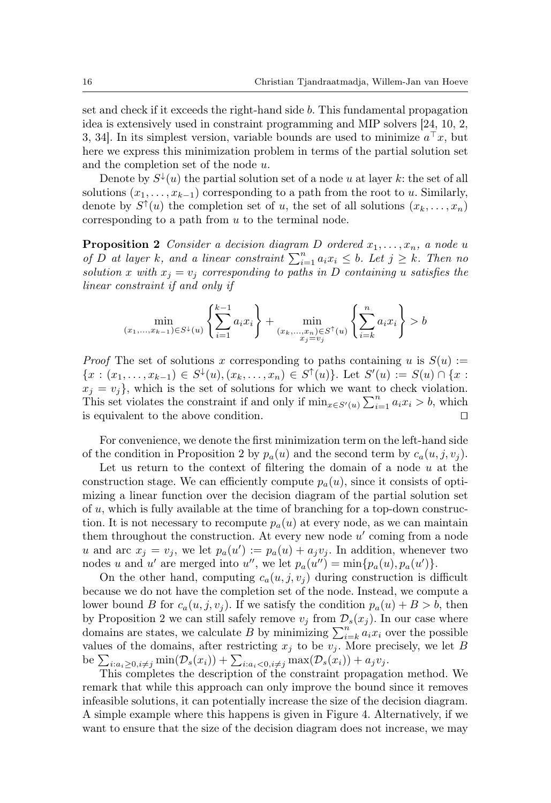set and check if it exceeds the right-hand side b. This fundamental propagation idea is extensively used in constraint programming and MIP solvers [24, 10, 2, 3, 34]. In its simplest version, variable bounds are used to minimize  $a^{\top}x$ , but here we express this minimization problem in terms of the partial solution set and the completion set of the node u.

Denote by  $S^{\downarrow}(u)$  the partial solution set of a node u at layer k: the set of all solutions  $(x_1, \ldots, x_{k-1})$  corresponding to a path from the root to u. Similarly, denote by  $S^{\uparrow}(u)$  the completion set of u, the set of all solutions  $(x_k, \ldots, x_n)$ corresponding to a path from  $u$  to the terminal node.

**Proposition 2** Consider a decision diagram D ordered  $x_1, \ldots, x_n$ , a node u of D at layer k, and a linear constraint  $\sum_{i=1}^{n} a_i x_i \leq b$ . Let  $j \geq k$ . Then no solution x with  $x_i = v_i$  corresponding to paths in D containing u satisfies the linear constraint if and only if

$$
\min_{(x_1, ..., x_{k-1}) \in S^{\downarrow}(u)} \left\{ \sum_{i=1}^{k-1} a_i x_i \right\} + \min_{(x_k, ..., x_n) \in S^{\uparrow}(u)} \left\{ \sum_{i=k}^n a_i x_i \right\} > b
$$

*Proof* The set of solutions x corresponding to paths containing u is  $S(u) :=$  $\{x: (x_1, \ldots, x_{k-1}) \in S^{\downarrow}(u), (x_k, \ldots, x_n) \in S^{\uparrow}(u)\}.$  Let  $S'(u) := S(u) \cap \{x:$  $x_j = v_j$ , which is the set of solutions for which we want to check violation. This set violates the constraint if and only if  $\min_{x \in S'(u)} \sum_{i=1}^n a_i x_i > b$ , which is equivalent to the above condition.

For convenience, we denote the first minimization term on the left-hand side of the condition in Proposition 2 by  $p_a(u)$  and the second term by  $c_a(u, j, v_i)$ .

Let us return to the context of filtering the domain of a node  $u$  at the construction stage. We can efficiently compute  $p_a(u)$ , since it consists of optimizing a linear function over the decision diagram of the partial solution set of  $u$ , which is fully available at the time of branching for a top-down construction. It is not necessary to recompute  $p_a(u)$  at every node, as we can maintain them throughout the construction. At every new node  $u'$  coming from a node u and arc  $x_j = v_j$ , we let  $p_a(u') := p_a(u) + a_j v_j$ . In addition, whenever two nodes u and u' are merged into u'', we let  $p_a(u'') = \min\{p_a(u), p_a(u')\}.$ 

On the other hand, computing  $c_a(u, j, v_i)$  during construction is difficult because we do not have the completion set of the node. Instead, we compute a lower bound B for  $c_a(u, j, v_i)$ . If we satisfy the condition  $p_a(u) + B > b$ , then by Proposition 2 we can still safely remove  $v_i$  from  $\mathcal{D}_s(x_i)$ . In our case where domains are states, we calculate B by minimizing  $\sum_{i=k}^{n} a_i x_i$  over the possible values of the domains, after restricting  $x_i$  to be  $v_i$ . More precisely, we let B be  $\sum_{i:a_i\geq 0, i\neq j} \min(\mathcal{D}_s(x_i)) + \sum_{i:a_i<0, i\neq j} \max(\mathcal{D}_s(x_i)) + a_jv_j.$ 

This completes the description of the constraint propagation method. We remark that while this approach can only improve the bound since it removes infeasible solutions, it can potentially increase the size of the decision diagram. A simple example where this happens is given in Figure 4. Alternatively, if we want to ensure that the size of the decision diagram does not increase, we may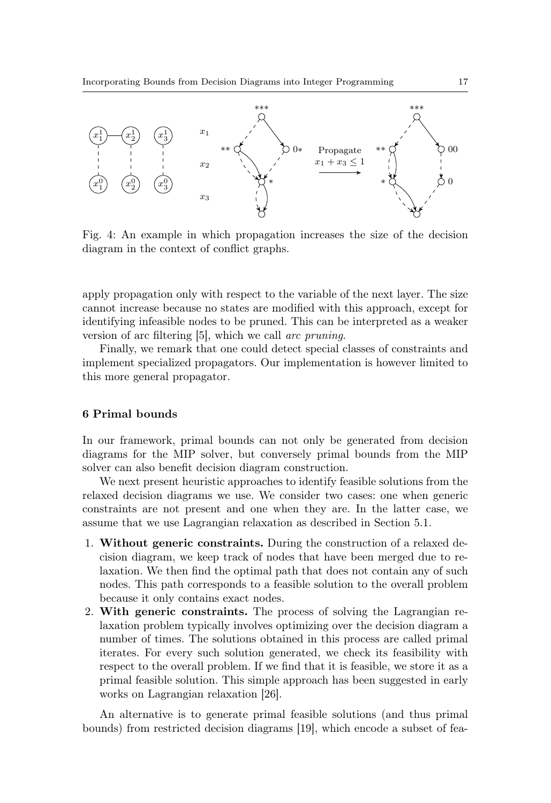

Fig. 4: An example in which propagation increases the size of the decision diagram in the context of conflict graphs.

apply propagation only with respect to the variable of the next layer. The size cannot increase because no states are modified with this approach, except for identifying infeasible nodes to be pruned. This can be interpreted as a weaker version of arc filtering [5], which we call arc pruning.

Finally, we remark that one could detect special classes of constraints and implement specialized propagators. Our implementation is however limited to this more general propagator.

# 6 Primal bounds

In our framework, primal bounds can not only be generated from decision diagrams for the MIP solver, but conversely primal bounds from the MIP solver can also benefit decision diagram construction.

We next present heuristic approaches to identify feasible solutions from the relaxed decision diagrams we use. We consider two cases: one when generic constraints are not present and one when they are. In the latter case, we assume that we use Lagrangian relaxation as described in Section 5.1.

- 1. Without generic constraints. During the construction of a relaxed decision diagram, we keep track of nodes that have been merged due to relaxation. We then find the optimal path that does not contain any of such nodes. This path corresponds to a feasible solution to the overall problem because it only contains exact nodes.
- 2. With generic constraints. The process of solving the Lagrangian relaxation problem typically involves optimizing over the decision diagram a number of times. The solutions obtained in this process are called primal iterates. For every such solution generated, we check its feasibility with respect to the overall problem. If we find that it is feasible, we store it as a primal feasible solution. This simple approach has been suggested in early works on Lagrangian relaxation [26].

An alternative is to generate primal feasible solutions (and thus primal bounds) from restricted decision diagrams [19], which encode a subset of fea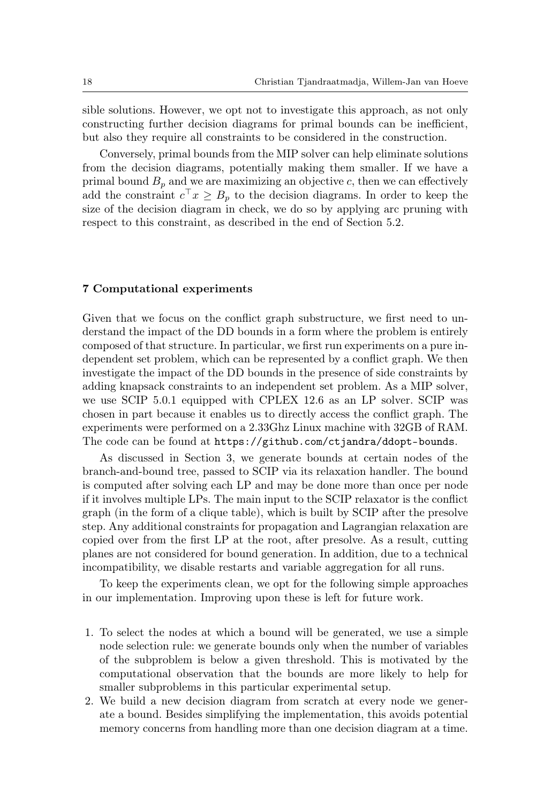sible solutions. However, we opt not to investigate this approach, as not only constructing further decision diagrams for primal bounds can be inefficient, but also they require all constraints to be considered in the construction.

Conversely, primal bounds from the MIP solver can help eliminate solutions from the decision diagrams, potentially making them smaller. If we have a primal bound  $B_p$  and we are maximizing an objective c, then we can effectively add the constraint  $c^{\top} x \geq B_p$  to the decision diagrams. In order to keep the size of the decision diagram in check, we do so by applying arc pruning with respect to this constraint, as described in the end of Section 5.2.

## 7 Computational experiments

Given that we focus on the conflict graph substructure, we first need to understand the impact of the DD bounds in a form where the problem is entirely composed of that structure. In particular, we first run experiments on a pure independent set problem, which can be represented by a conflict graph. We then investigate the impact of the DD bounds in the presence of side constraints by adding knapsack constraints to an independent set problem. As a MIP solver, we use SCIP 5.0.1 equipped with CPLEX 12.6 as an LP solver. SCIP was chosen in part because it enables us to directly access the conflict graph. The experiments were performed on a 2.33Ghz Linux machine with 32GB of RAM. The code can be found at https://github.com/ctjandra/ddopt-bounds.

As discussed in Section 3, we generate bounds at certain nodes of the branch-and-bound tree, passed to SCIP via its relaxation handler. The bound is computed after solving each LP and may be done more than once per node if it involves multiple LPs. The main input to the SCIP relaxator is the conflict graph (in the form of a clique table), which is built by SCIP after the presolve step. Any additional constraints for propagation and Lagrangian relaxation are copied over from the first LP at the root, after presolve. As a result, cutting planes are not considered for bound generation. In addition, due to a technical incompatibility, we disable restarts and variable aggregation for all runs.

To keep the experiments clean, we opt for the following simple approaches in our implementation. Improving upon these is left for future work.

- 1. To select the nodes at which a bound will be generated, we use a simple node selection rule: we generate bounds only when the number of variables of the subproblem is below a given threshold. This is motivated by the computational observation that the bounds are more likely to help for smaller subproblems in this particular experimental setup.
- 2. We build a new decision diagram from scratch at every node we generate a bound. Besides simplifying the implementation, this avoids potential memory concerns from handling more than one decision diagram at a time.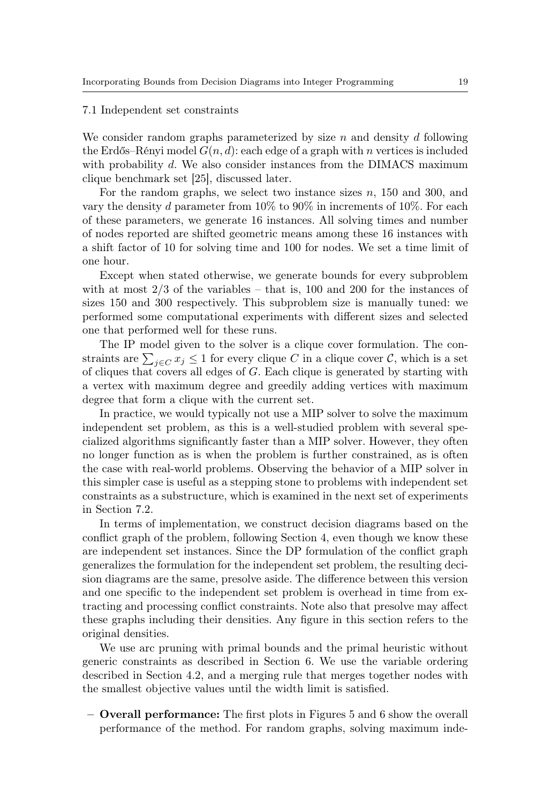#### 7.1 Independent set constraints

We consider random graphs parameterized by size  $n$  and density  $d$  following the Erdős–Rényi model  $G(n, d)$ : each edge of a graph with n vertices is included with probability d. We also consider instances from the DIMACS maximum clique benchmark set [25], discussed later.

For the random graphs, we select two instance sizes  $n$ , 150 and 300, and vary the density d parameter from  $10\%$  to  $90\%$  in increments of 10%. For each of these parameters, we generate 16 instances. All solving times and number of nodes reported are shifted geometric means among these 16 instances with a shift factor of 10 for solving time and 100 for nodes. We set a time limit of one hour.

Except when stated otherwise, we generate bounds for every subproblem with at most  $2/3$  of the variables – that is, 100 and 200 for the instances of sizes 150 and 300 respectively. This subproblem size is manually tuned: we performed some computational experiments with different sizes and selected one that performed well for these runs.

The IP model given to the solver is a clique cover formulation. The constraints are  $\sum_{j \in C} x_j \leq 1$  for every clique C in a clique cover C, which is a set of cliques that covers all edges of G. Each clique is generated by starting with a vertex with maximum degree and greedily adding vertices with maximum degree that form a clique with the current set.

In practice, we would typically not use a MIP solver to solve the maximum independent set problem, as this is a well-studied problem with several specialized algorithms significantly faster than a MIP solver. However, they often no longer function as is when the problem is further constrained, as is often the case with real-world problems. Observing the behavior of a MIP solver in this simpler case is useful as a stepping stone to problems with independent set constraints as a substructure, which is examined in the next set of experiments in Section 7.2.

In terms of implementation, we construct decision diagrams based on the conflict graph of the problem, following Section 4, even though we know these are independent set instances. Since the DP formulation of the conflict graph generalizes the formulation for the independent set problem, the resulting decision diagrams are the same, presolve aside. The difference between this version and one specific to the independent set problem is overhead in time from extracting and processing conflict constraints. Note also that presolve may affect these graphs including their densities. Any figure in this section refers to the original densities.

We use arc pruning with primal bounds and the primal heuristic without generic constraints as described in Section 6. We use the variable ordering described in Section 4.2, and a merging rule that merges together nodes with the smallest objective values until the width limit is satisfied.

– Overall performance: The first plots in Figures 5 and 6 show the overall performance of the method. For random graphs, solving maximum inde-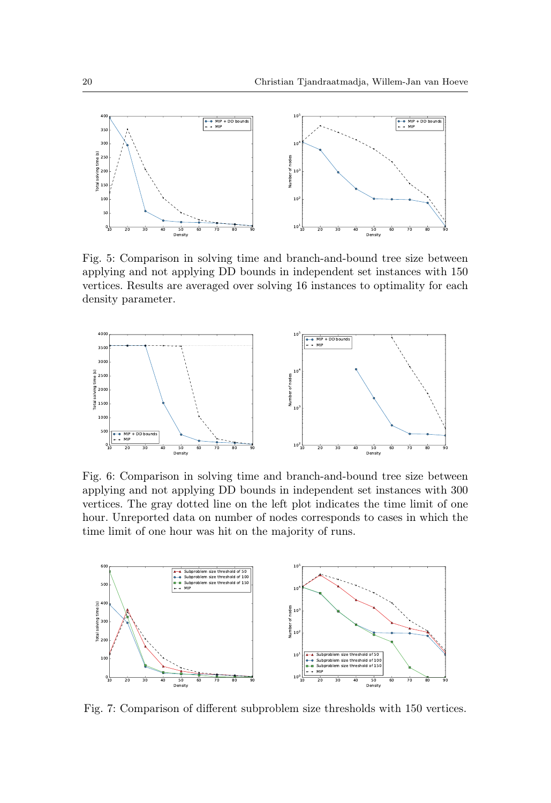

Fig. 5: Comparison in solving time and branch-and-bound tree size between applying and not applying DD bounds in independent set instances with 150 vertices. Results are averaged over solving 16 instances to optimality for each density parameter.



Fig. 6: Comparison in solving time and branch-and-bound tree size between applying and not applying DD bounds in independent set instances with 300 vertices. The gray dotted line on the left plot indicates the time limit of one hour. Unreported data on number of nodes corresponds to cases in which the time limit of one hour was hit on the majority of runs.



Fig. 7: Comparison of different subproblem size thresholds with 150 vertices.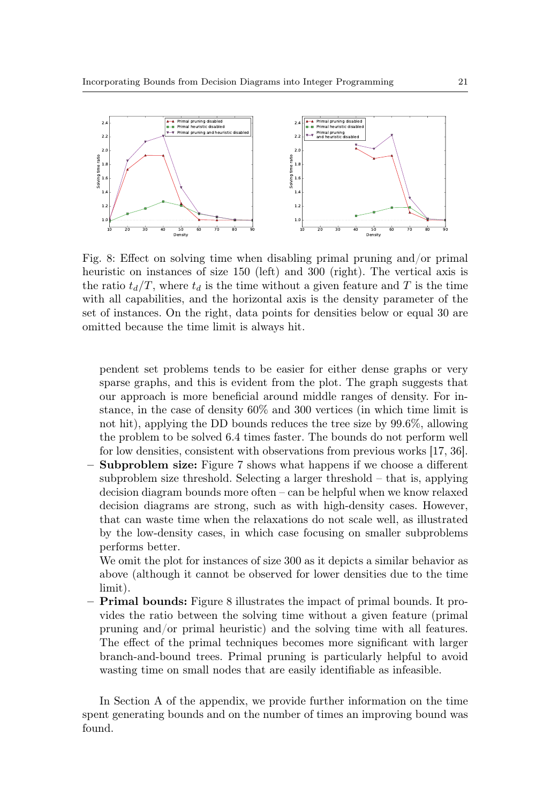

Fig. 8: Effect on solving time when disabling primal pruning and/or primal heuristic on instances of size 150 (left) and 300 (right). The vertical axis is the ratio  $t_d/T$ , where  $t_d$  is the time without a given feature and T is the time with all capabilities, and the horizontal axis is the density parameter of the set of instances. On the right, data points for densities below or equal 30 are omitted because the time limit is always hit.

pendent set problems tends to be easier for either dense graphs or very sparse graphs, and this is evident from the plot. The graph suggests that our approach is more beneficial around middle ranges of density. For instance, in the case of density 60% and 300 vertices (in which time limit is not hit), applying the DD bounds reduces the tree size by 99.6%, allowing the problem to be solved 6.4 times faster. The bounds do not perform well for low densities, consistent with observations from previous works [17, 36].

– Subproblem size: Figure 7 shows what happens if we choose a different subproblem size threshold. Selecting a larger threshold – that is, applying decision diagram bounds more often – can be helpful when we know relaxed decision diagrams are strong, such as with high-density cases. However, that can waste time when the relaxations do not scale well, as illustrated by the low-density cases, in which case focusing on smaller subproblems performs better.

We omit the plot for instances of size 300 as it depicts a similar behavior as above (although it cannot be observed for lower densities due to the time limit).

– Primal bounds: Figure 8 illustrates the impact of primal bounds. It provides the ratio between the solving time without a given feature (primal pruning and/or primal heuristic) and the solving time with all features. The effect of the primal techniques becomes more significant with larger branch-and-bound trees. Primal pruning is particularly helpful to avoid wasting time on small nodes that are easily identifiable as infeasible.

In Section A of the appendix, we provide further information on the time spent generating bounds and on the number of times an improving bound was found.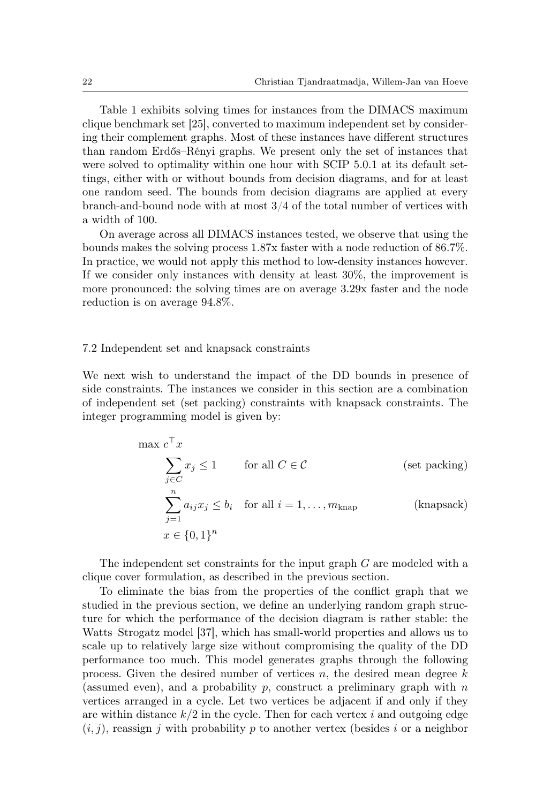Table 1 exhibits solving times for instances from the DIMACS maximum clique benchmark set [25], converted to maximum independent set by considering their complement graphs. Most of these instances have different structures than random Erdős–Rényi graphs. We present only the set of instances that were solved to optimality within one hour with SCIP 5.0.1 at its default settings, either with or without bounds from decision diagrams, and for at least one random seed. The bounds from decision diagrams are applied at every branch-and-bound node with at most 3/4 of the total number of vertices with a width of 100.

On average across all DIMACS instances tested, we observe that using the bounds makes the solving process 1.87x faster with a node reduction of 86.7%. In practice, we would not apply this method to low-density instances however. If we consider only instances with density at least 30%, the improvement is more pronounced: the solving times are on average 3.29x faster and the node reduction is on average 94.8%.

# 7.2 Independent set and knapsack constraints

We next wish to understand the impact of the DD bounds in presence of side constraints. The instances we consider in this section are a combination of independent set (set packing) constraints with knapsack constraints. The integer programming model is given by:

$$
\max_{c \in C} c^{\top} x
$$
\n
$$
\sum_{j \in C} x_j \le 1 \qquad \text{for all } C \in C \qquad \text{(set packing)}
$$
\n
$$
\sum_{j=1}^{n} a_{ij} x_j \le b_i \quad \text{for all } i = 1, ..., m_{\text{knap}} \qquad \text{(knapsack)}
$$
\n
$$
x \in \{0, 1\}^n
$$

The independent set constraints for the input graph G are modeled with a clique cover formulation, as described in the previous section.

To eliminate the bias from the properties of the conflict graph that we studied in the previous section, we define an underlying random graph structure for which the performance of the decision diagram is rather stable: the Watts–Strogatz model [37], which has small-world properties and allows us to scale up to relatively large size without compromising the quality of the DD performance too much. This model generates graphs through the following process. Given the desired number of vertices n, the desired mean degree  $k$ (assumed even), and a probability  $p$ , construct a preliminary graph with  $n$ vertices arranged in a cycle. Let two vertices be adjacent if and only if they are within distance  $k/2$  in the cycle. Then for each vertex i and outgoing edge  $(i, j)$ , reassign j with probability p to another vertex (besides i or a neighbor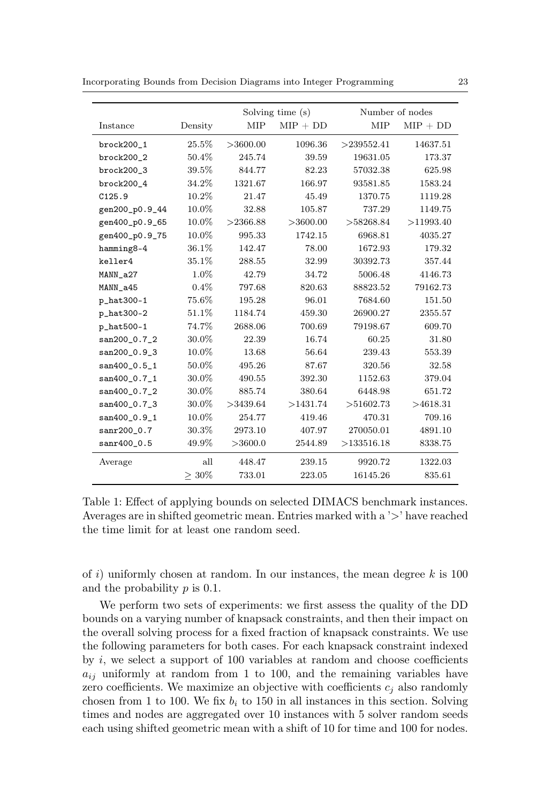Incorporating Bounds from Decision Diagrams into Integer Programming 23

|                |          |             | Solving time (s) | Number of nodes |            |
|----------------|----------|-------------|------------------|-----------------|------------|
| Instance       | Density  | <b>MIP</b>  | $MIP + DD$       | <b>MIP</b>      | $MIP + DD$ |
| brock200_1     | 25.5%    | >3600.00    | 1096.36          | $>$ 239552.41   | 14637.51   |
| brock200_2     | 50.4%    | 245.74      | 39.59            | 19631.05        | 173.37     |
| brock200_3     | 39.5%    | 844.77      | 82.23            | 57032.38        | 625.98     |
| brock200_4     | 34.2%    | 1321.67     | 166.97           | 93581.85        | 1583.24    |
| C125.9         | 10.2%    | 21.47       | 45.49            | 1370.75         | 1119.28    |
| gen200_p0.9_44 | 10.0%    | 32.88       | 105.87           | 737.29          | 1149.75    |
| gen400_p0.9_65 | 10.0%    | $>$ 2366.88 | >3600.00         | >58268.84       | >11993.40  |
| gen400_p0.9_75 | 10.0%    | 995.33      | 1742.15          | 6968.81         | 4035.27    |
| hamming8-4     | 36.1%    | 142.47      | 78.00            | 1672.93         | 179.32     |
| keller4        | 35.1%    | 288.55      | 32.99            | 30392.73        | 357.44     |
| MANN_a27       | 1.0%     | 42.79       | 34.72            | 5006.48         | 4146.73    |
| MANN_a45       | 0.4%     | 797.68      | 820.63           | 88823.52        | 79162.73   |
| p_hat300-1     | 75.6%    | 195.28      | 96.01            | 7684.60         | 151.50     |
| p_hat300-2     | 51.1%    | 1184.74     | 459.30           | 26900.27        | 2355.57    |
| $p_{hat}500-1$ | $74.7\%$ | 2688.06     | 700.69           | 79198.67        | 609.70     |
| san200_0.7_2   | 30.0%    | 22.39       | 16.74            | 60.25           | 31.80      |
| $san200_0.9_3$ | 10.0%    | 13.68       | 56.64            | 239.43          | 553.39     |
| $san400_0.5_1$ | 50.0%    | 495.26      | 87.67            | 320.56          | 32.58      |
| $san400_0.7_1$ | 30.0%    | 490.55      | 392.30           | 1152.63         | 379.04     |
| san400_0.7_2   | 30.0%    | 885.74      | 380.64           | 6448.98         | 651.72     |
| san400_0.7_3   | 30.0%    | >3439.64    | >1431.74         | >51602.73       | >4618.31   |
| $san400_0.9_1$ | 10.0%    | 254.77      | 419.46           | 470.31          | 709.16     |
| $sanr200_0.7$  | 30.3%    | 2973.10     | 407.97           | 270050.01       | 4891.10    |
| $sanr400_0.5$  | 49.9%    | >3600.0     | 2544.89          | >133516.18      | 8338.75    |
| Average        | all      | 448.47      | 239.15           | 9920.72         | 1322.03    |
|                | $>30\%$  | 733.01      | 223.05           | 16145.26        | 835.61     |

Table 1: Effect of applying bounds on selected DIMACS benchmark instances. Averages are in shifted geometric mean. Entries marked with a '>' have reached the time limit for at least one random seed.

of i) uniformly chosen at random. In our instances, the mean degree  $k$  is 100 and the probability  $p$  is 0.1.

We perform two sets of experiments: we first assess the quality of the DD bounds on a varying number of knapsack constraints, and then their impact on the overall solving process for a fixed fraction of knapsack constraints. We use the following parameters for both cases. For each knapsack constraint indexed by  $i$ , we select a support of 100 variables at random and choose coefficients  $a_{ij}$  uniformly at random from 1 to 100, and the remaining variables have zero coefficients. We maximize an objective with coefficients  $c_i$  also randomly chosen from 1 to 100. We fix  $b_i$  to 150 in all instances in this section. Solving times and nodes are aggregated over 10 instances with 5 solver random seeds each using shifted geometric mean with a shift of 10 for time and 100 for nodes.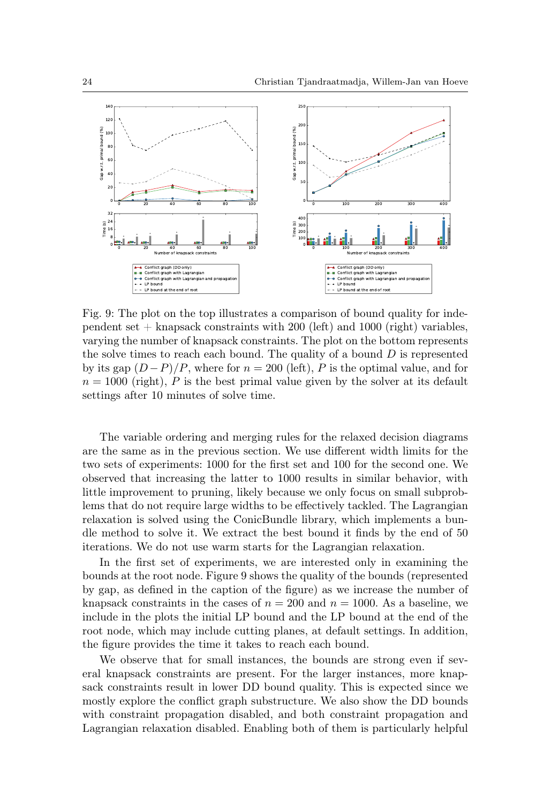

Fig. 9: The plot on the top illustrates a comparison of bound quality for independent set  $+$  knapsack constraints with 200 (left) and 1000 (right) variables, varying the number of knapsack constraints. The plot on the bottom represents the solve times to reach each bound. The quality of a bound  $D$  is represented by its gap  $(D - P)/P$ , where for  $n = 200$  (left), P is the optimal value, and for  $n = 1000$  (right), P is the best primal value given by the solver at its default settings after 10 minutes of solve time.

The variable ordering and merging rules for the relaxed decision diagrams are the same as in the previous section. We use different width limits for the two sets of experiments: 1000 for the first set and 100 for the second one. We observed that increasing the latter to 1000 results in similar behavior, with little improvement to pruning, likely because we only focus on small subproblems that do not require large widths to be effectively tackled. The Lagrangian relaxation is solved using the ConicBundle library, which implements a bundle method to solve it. We extract the best bound it finds by the end of 50 iterations. We do not use warm starts for the Lagrangian relaxation.

In the first set of experiments, we are interested only in examining the bounds at the root node. Figure 9 shows the quality of the bounds (represented by gap, as defined in the caption of the figure) as we increase the number of knapsack constraints in the cases of  $n = 200$  and  $n = 1000$ . As a baseline, we include in the plots the initial LP bound and the LP bound at the end of the root node, which may include cutting planes, at default settings. In addition, the figure provides the time it takes to reach each bound.

We observe that for small instances, the bounds are strong even if several knapsack constraints are present. For the larger instances, more knapsack constraints result in lower DD bound quality. This is expected since we mostly explore the conflict graph substructure. We also show the DD bounds with constraint propagation disabled, and both constraint propagation and Lagrangian relaxation disabled. Enabling both of them is particularly helpful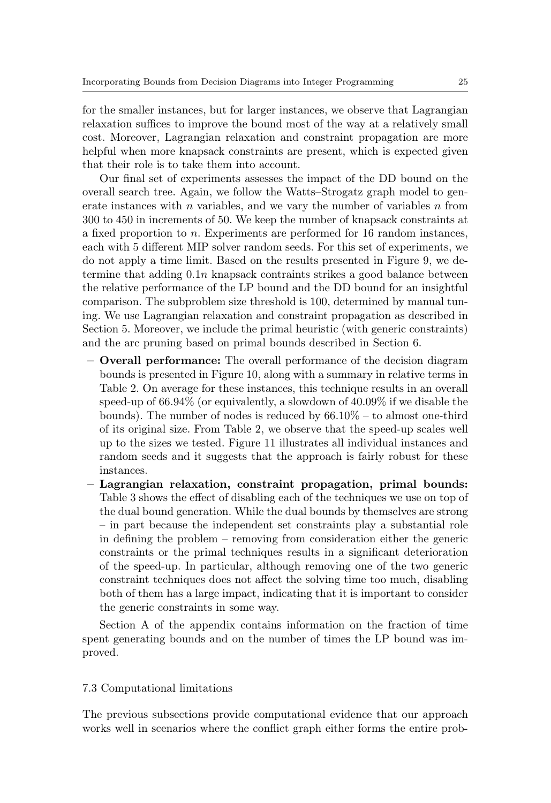for the smaller instances, but for larger instances, we observe that Lagrangian relaxation suffices to improve the bound most of the way at a relatively small cost. Moreover, Lagrangian relaxation and constraint propagation are more helpful when more knapsack constraints are present, which is expected given that their role is to take them into account.

Our final set of experiments assesses the impact of the DD bound on the overall search tree. Again, we follow the Watts–Strogatz graph model to generate instances with  $n$  variables, and we vary the number of variables  $n$  from 300 to 450 in increments of 50. We keep the number of knapsack constraints at a fixed proportion to n. Experiments are performed for 16 random instances, each with 5 different MIP solver random seeds. For this set of experiments, we do not apply a time limit. Based on the results presented in Figure 9, we determine that adding  $0.1n$  knapsack contraints strikes a good balance between the relative performance of the LP bound and the DD bound for an insightful comparison. The subproblem size threshold is 100, determined by manual tuning. We use Lagrangian relaxation and constraint propagation as described in Section 5. Moreover, we include the primal heuristic (with generic constraints) and the arc pruning based on primal bounds described in Section 6.

- Overall performance: The overall performance of the decision diagram bounds is presented in Figure 10, along with a summary in relative terms in Table 2. On average for these instances, this technique results in an overall speed-up of 66.94% (or equivalently, a slowdown of 40.09% if we disable the bounds). The number of nodes is reduced by  $66.10\%$  – to almost one-third of its original size. From Table 2, we observe that the speed-up scales well up to the sizes we tested. Figure 11 illustrates all individual instances and random seeds and it suggests that the approach is fairly robust for these instances.
- Lagrangian relaxation, constraint propagation, primal bounds: Table 3 shows the effect of disabling each of the techniques we use on top of the dual bound generation. While the dual bounds by themselves are strong – in part because the independent set constraints play a substantial role in defining the problem – removing from consideration either the generic constraints or the primal techniques results in a significant deterioration of the speed-up. In particular, although removing one of the two generic constraint techniques does not affect the solving time too much, disabling both of them has a large impact, indicating that it is important to consider the generic constraints in some way.

Section A of the appendix contains information on the fraction of time spent generating bounds and on the number of times the LP bound was improved.

## 7.3 Computational limitations

The previous subsections provide computational evidence that our approach works well in scenarios where the conflict graph either forms the entire prob-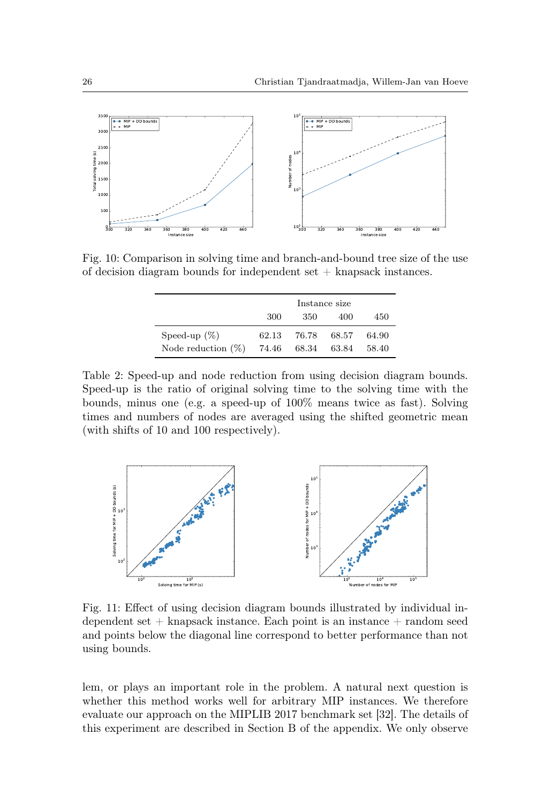

Fig. 10: Comparison in solving time and branch-and-bound tree size of the use of decision diagram bounds for independent set  $+$  knapsack instances.

|                       | Instance size |             |       |       |
|-----------------------|---------------|-------------|-------|-------|
|                       | -300          | 350         | 400   | 450   |
| Speed-up $(\%)$       | 62.13         | 76.78       | 68.57 | 64.90 |
| Node reduction $(\%)$ | 74.46         | 68.34 63.84 |       | 58.40 |

Table 2: Speed-up and node reduction from using decision diagram bounds. Speed-up is the ratio of original solving time to the solving time with the bounds, minus one (e.g. a speed-up of 100% means twice as fast). Solving times and numbers of nodes are averaged using the shifted geometric mean (with shifts of 10 and 100 respectively).



Fig. 11: Effect of using decision diagram bounds illustrated by individual independent set  $+$  knapsack instance. Each point is an instance  $+$  random seed and points below the diagonal line correspond to better performance than not using bounds.

lem, or plays an important role in the problem. A natural next question is whether this method works well for arbitrary MIP instances. We therefore evaluate our approach on the MIPLIB 2017 benchmark set [32]. The details of this experiment are described in Section B of the appendix. We only observe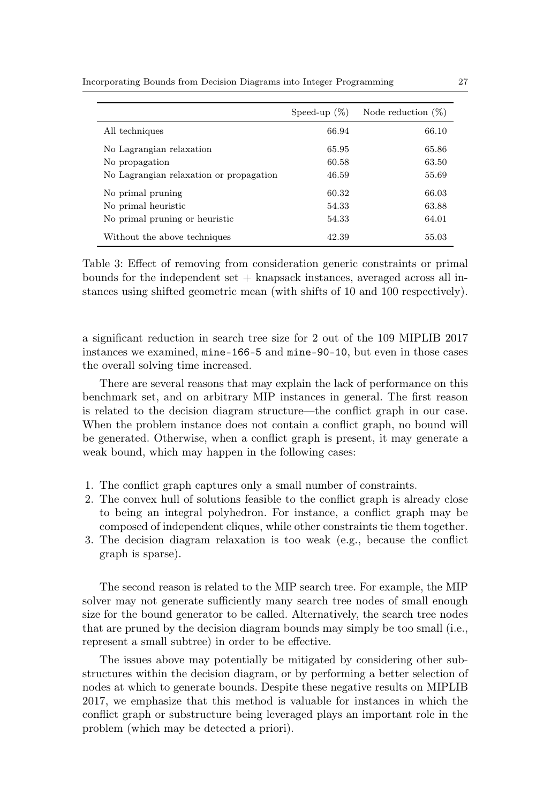|                                         | Speed-up $(\%)$ | Node reduction $(\%)$ |
|-----------------------------------------|-----------------|-----------------------|
| All techniques                          | 66.94           | 66.10                 |
| No Lagrangian relaxation                | 65.95           | 65.86                 |
| No propagation                          | 60.58           | 63.50                 |
| No Lagrangian relaxation or propagation | 46.59           | 55.69                 |
| No primal pruning                       | 60.32           | 66.03                 |
| No primal heuristic                     | 54.33           | 63.88                 |
| No primal pruning or heuristic          | 54.33           | 64.01                 |
| Without the above techniques            | 42.39           | 55.03                 |

Incorporating Bounds from Decision Diagrams into Integer Programming 27

Table 3: Effect of removing from consideration generic constraints or primal bounds for the independent set  $+$  knapsack instances, averaged across all instances using shifted geometric mean (with shifts of 10 and 100 respectively).

a significant reduction in search tree size for 2 out of the 109 MIPLIB 2017 instances we examined, mine-166-5 and mine-90-10, but even in those cases the overall solving time increased.

There are several reasons that may explain the lack of performance on this benchmark set, and on arbitrary MIP instances in general. The first reason is related to the decision diagram structure—the conflict graph in our case. When the problem instance does not contain a conflict graph, no bound will be generated. Otherwise, when a conflict graph is present, it may generate a weak bound, which may happen in the following cases:

- 1. The conflict graph captures only a small number of constraints.
- 2. The convex hull of solutions feasible to the conflict graph is already close to being an integral polyhedron. For instance, a conflict graph may be composed of independent cliques, while other constraints tie them together.
- 3. The decision diagram relaxation is too weak (e.g., because the conflict graph is sparse).

The second reason is related to the MIP search tree. For example, the MIP solver may not generate sufficiently many search tree nodes of small enough size for the bound generator to be called. Alternatively, the search tree nodes that are pruned by the decision diagram bounds may simply be too small (i.e., represent a small subtree) in order to be effective.

The issues above may potentially be mitigated by considering other substructures within the decision diagram, or by performing a better selection of nodes at which to generate bounds. Despite these negative results on MIPLIB 2017, we emphasize that this method is valuable for instances in which the conflict graph or substructure being leveraged plays an important role in the problem (which may be detected a priori).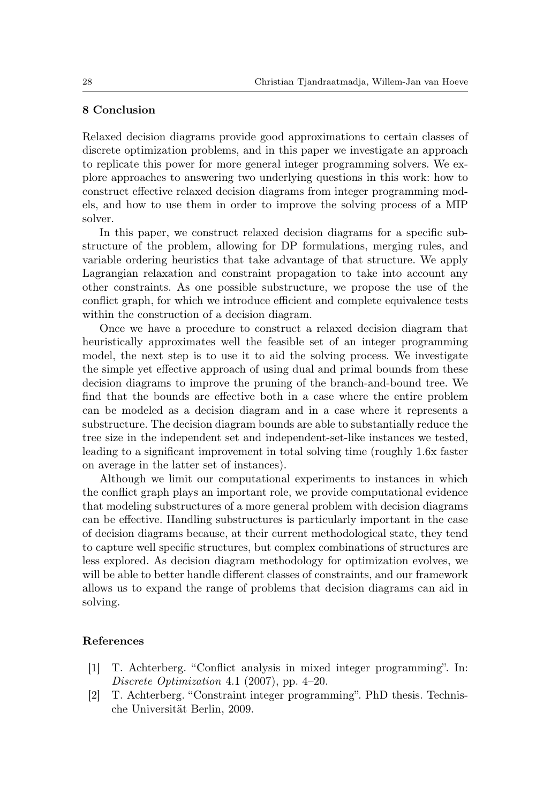# 8 Conclusion

Relaxed decision diagrams provide good approximations to certain classes of discrete optimization problems, and in this paper we investigate an approach to replicate this power for more general integer programming solvers. We explore approaches to answering two underlying questions in this work: how to construct effective relaxed decision diagrams from integer programming models, and how to use them in order to improve the solving process of a MIP solver.

In this paper, we construct relaxed decision diagrams for a specific substructure of the problem, allowing for DP formulations, merging rules, and variable ordering heuristics that take advantage of that structure. We apply Lagrangian relaxation and constraint propagation to take into account any other constraints. As one possible substructure, we propose the use of the conflict graph, for which we introduce efficient and complete equivalence tests within the construction of a decision diagram.

Once we have a procedure to construct a relaxed decision diagram that heuristically approximates well the feasible set of an integer programming model, the next step is to use it to aid the solving process. We investigate the simple yet effective approach of using dual and primal bounds from these decision diagrams to improve the pruning of the branch-and-bound tree. We find that the bounds are effective both in a case where the entire problem can be modeled as a decision diagram and in a case where it represents a substructure. The decision diagram bounds are able to substantially reduce the tree size in the independent set and independent-set-like instances we tested, leading to a significant improvement in total solving time (roughly 1.6x faster on average in the latter set of instances).

Although we limit our computational experiments to instances in which the conflict graph plays an important role, we provide computational evidence that modeling substructures of a more general problem with decision diagrams can be effective. Handling substructures is particularly important in the case of decision diagrams because, at their current methodological state, they tend to capture well specific structures, but complex combinations of structures are less explored. As decision diagram methodology for optimization evolves, we will be able to better handle different classes of constraints, and our framework allows us to expand the range of problems that decision diagrams can aid in solving.

# References

- [1] T. Achterberg. "Conflict analysis in mixed integer programming". In: Discrete Optimization 4.1 (2007), pp. 4–20.
- [2] T. Achterberg. "Constraint integer programming". PhD thesis. Technische Universität Berlin, 2009.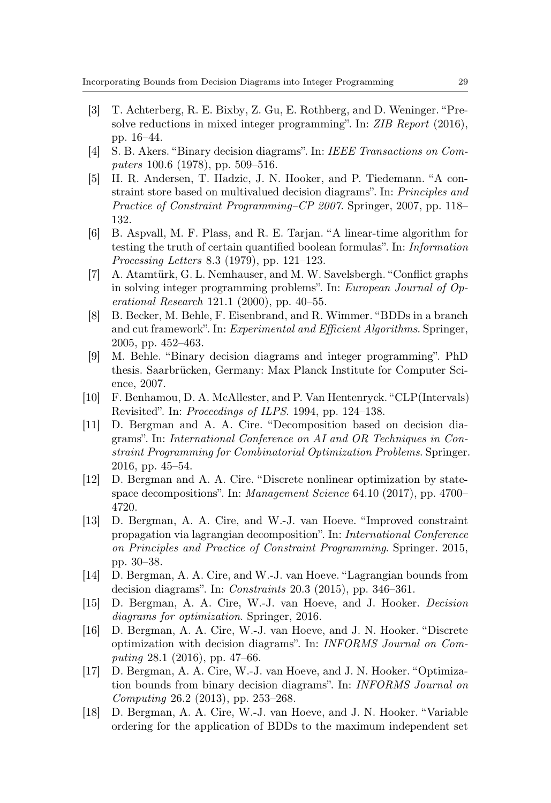- [3] T. Achterberg, R. E. Bixby, Z. Gu, E. Rothberg, and D. Weninger. "Presolve reductions in mixed integer programming". In: ZIB Report (2016), pp. 16–44.
- [4] S. B. Akers. "Binary decision diagrams". In: IEEE Transactions on Computers 100.6 (1978), pp. 509–516.
- [5] H. R. Andersen, T. Hadzic, J. N. Hooker, and P. Tiedemann. "A constraint store based on multivalued decision diagrams". In: Principles and Practice of Constraint Programming–CP 2007. Springer, 2007, pp. 118– 132.
- [6] B. Aspvall, M. F. Plass, and R. E. Tarjan. "A linear-time algorithm for testing the truth of certain quantified boolean formulas". In: Information Processing Letters 8.3 (1979), pp. 121–123.
- [7] A. Atamtürk, G. L. Nemhauser, and M. W. Savelsbergh. "Conflict graphs in solving integer programming problems". In: European Journal of Operational Research 121.1 (2000), pp. 40–55.
- [8] B. Becker, M. Behle, F. Eisenbrand, and R. Wimmer. "BDDs in a branch and cut framework". In: Experimental and Efficient Algorithms. Springer, 2005, pp. 452–463.
- [9] M. Behle. "Binary decision diagrams and integer programming". PhD thesis. Saarbrücken, Germany: Max Planck Institute for Computer Science, 2007.
- [10] F. Benhamou, D. A. McAllester, and P. Van Hentenryck. "CLP(Intervals) Revisited". In: Proceedings of ILPS. 1994, pp. 124–138.
- [11] D. Bergman and A. A. Cire. "Decomposition based on decision diagrams". In: International Conference on AI and OR Techniques in Constraint Programming for Combinatorial Optimization Problems. Springer. 2016, pp. 45–54.
- [12] D. Bergman and A. A. Cire. "Discrete nonlinear optimization by statespace decompositions". In: Management Science 64.10 (2017), pp. 4700– 4720.
- [13] D. Bergman, A. A. Cire, and W.-J. van Hoeve. "Improved constraint propagation via lagrangian decomposition". In: International Conference on Principles and Practice of Constraint Programming. Springer. 2015, pp. 30–38.
- [14] D. Bergman, A. A. Cire, and W.-J. van Hoeve. "Lagrangian bounds from decision diagrams". In: Constraints 20.3 (2015), pp. 346–361.
- [15] D. Bergman, A. A. Cire, W.-J. van Hoeve, and J. Hooker. Decision diagrams for optimization. Springer, 2016.
- [16] D. Bergman, A. A. Cire, W.-J. van Hoeve, and J. N. Hooker. "Discrete optimization with decision diagrams". In: INFORMS Journal on Computing 28.1 (2016), pp. 47–66.
- [17] D. Bergman, A. A. Cire, W.-J. van Hoeve, and J. N. Hooker. "Optimization bounds from binary decision diagrams". In: INFORMS Journal on Computing 26.2 (2013), pp. 253–268.
- [18] D. Bergman, A. A. Cire, W.-J. van Hoeve, and J. N. Hooker. "Variable ordering for the application of BDDs to the maximum independent set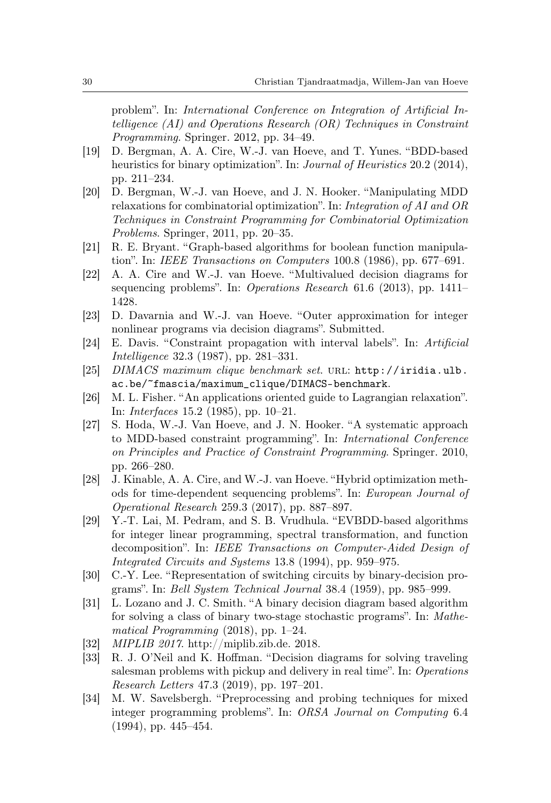problem". In: International Conference on Integration of Artificial Intelligence (AI) and Operations Research (OR) Techniques in Constraint Programming. Springer. 2012, pp. 34–49.

- [19] D. Bergman, A. A. Cire, W.-J. van Hoeve, and T. Yunes. "BDD-based heuristics for binary optimization". In: *Journal of Heuristics* 20.2 (2014), pp. 211–234.
- [20] D. Bergman, W.-J. van Hoeve, and J. N. Hooker. "Manipulating MDD relaxations for combinatorial optimization". In: Integration of AI and OR Techniques in Constraint Programming for Combinatorial Optimization Problems. Springer, 2011, pp. 20–35.
- [21] R. E. Bryant. "Graph-based algorithms for boolean function manipulation". In: IEEE Transactions on Computers 100.8 (1986), pp. 677–691.
- [22] A. A. Cire and W.-J. van Hoeve. "Multivalued decision diagrams for sequencing problems". In: *Operations Research* 61.6 (2013), pp. 1411– 1428.
- [23] D. Davarnia and W.-J. van Hoeve. "Outer approximation for integer nonlinear programs via decision diagrams". Submitted.
- [24] E. Davis. "Constraint propagation with interval labels". In: Artificial Intelligence 32.3 (1987), pp. 281–331.
- [25] DIMACS maximum clique benchmark set. URL: http://iridia.ulb. ac.be/~fmascia/maximum\_clique/DIMACS-benchmark.
- [26] M. L. Fisher. "An applications oriented guide to Lagrangian relaxation". In: Interfaces 15.2 (1985), pp. 10–21.
- [27] S. Hoda, W.-J. Van Hoeve, and J. N. Hooker. "A systematic approach to MDD-based constraint programming". In: International Conference on Principles and Practice of Constraint Programming. Springer. 2010, pp. 266–280.
- [28] J. Kinable, A. A. Cire, and W.-J. van Hoeve. "Hybrid optimization methods for time-dependent sequencing problems". In: European Journal of Operational Research 259.3 (2017), pp. 887–897.
- [29] Y.-T. Lai, M. Pedram, and S. B. Vrudhula. "EVBDD-based algorithms for integer linear programming, spectral transformation, and function decomposition". In: IEEE Transactions on Computer-Aided Design of Integrated Circuits and Systems 13.8 (1994), pp. 959–975.
- [30] C.-Y. Lee. "Representation of switching circuits by binary-decision programs". In: Bell System Technical Journal 38.4 (1959), pp. 985–999.
- [31] L. Lozano and J. C. Smith. "A binary decision diagram based algorithm for solving a class of binary two-stage stochastic programs". In: Mathematical Programming (2018), pp. 1–24.
- [32] MIPLIB 2017. http://miplib.zib.de. 2018.
- [33] R. J. O'Neil and K. Hoffman. "Decision diagrams for solving traveling salesman problems with pickup and delivery in real time". In: Operations Research Letters 47.3 (2019), pp. 197–201.
- [34] M. W. Savelsbergh. "Preprocessing and probing techniques for mixed integer programming problems". In: ORSA Journal on Computing 6.4 (1994), pp. 445–454.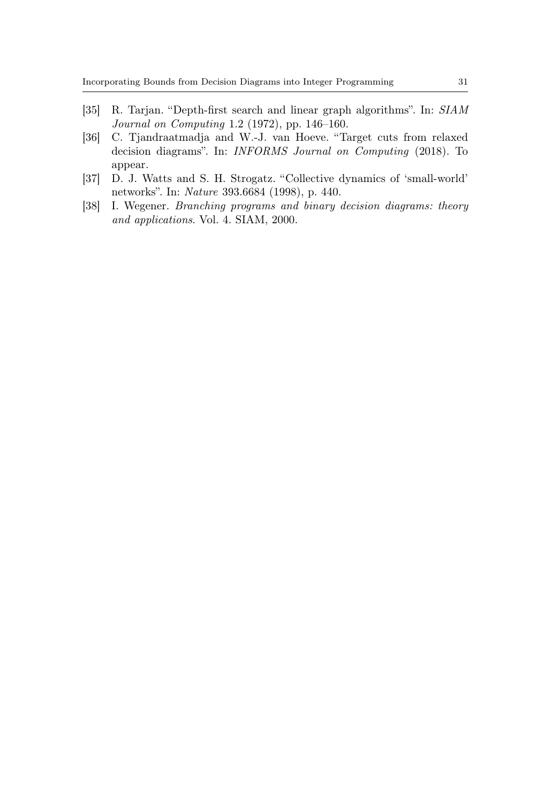- [35] R. Tarjan. "Depth-first search and linear graph algorithms". In: SIAM Journal on Computing 1.2 (1972), pp. 146–160.
- [36] C. Tjandraatmadja and W.-J. van Hoeve. "Target cuts from relaxed decision diagrams". In: INFORMS Journal on Computing (2018). To appear.
- [37] D. J. Watts and S. H. Strogatz. "Collective dynamics of 'small-world' networks". In: Nature 393.6684 (1998), p. 440.
- [38] I. Wegener. Branching programs and binary decision diagrams: theory and applications. Vol. 4. SIAM, 2000.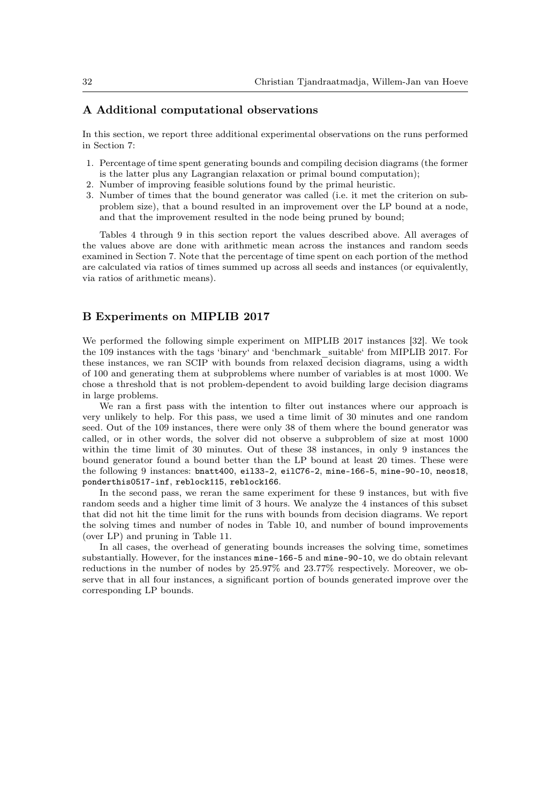#### A Additional computational observations

In this section, we report three additional experimental observations on the runs performed in Section 7:

- 1. Percentage of time spent generating bounds and compiling decision diagrams (the former is the latter plus any Lagrangian relaxation or primal bound computation);
- 2. Number of improving feasible solutions found by the primal heuristic.
- 3. Number of times that the bound generator was called (i.e. it met the criterion on subproblem size), that a bound resulted in an improvement over the LP bound at a node, and that the improvement resulted in the node being pruned by bound;

Tables 4 through 9 in this section report the values described above. All averages of the values above are done with arithmetic mean across the instances and random seeds examined in Section 7. Note that the percentage of time spent on each portion of the method are calculated via ratios of times summed up across all seeds and instances (or equivalently, via ratios of arithmetic means).

## B Experiments on MIPLIB 2017

We performed the following simple experiment on MIPLIB 2017 instances [32]. We took the 109 instances with the tags 'binary' and 'benchmark\_suitable' from MIPLIB 2017. For these instances, we ran SCIP with bounds from relaxed decision diagrams, using a width of 100 and generating them at subproblems where number of variables is at most 1000. We chose a threshold that is not problem-dependent to avoid building large decision diagrams in large problems.

We ran a first pass with the intention to filter out instances where our approach is very unlikely to help. For this pass, we used a time limit of 30 minutes and one random seed. Out of the 109 instances, there were only 38 of them where the bound generator was called, or in other words, the solver did not observe a subproblem of size at most 1000 within the time limit of 30 minutes. Out of these 38 instances, in only 9 instances the bound generator found a bound better than the LP bound at least 20 times. These were the following 9 instances: bnatt400, eil33-2, eilC76-2, mine-166-5, mine-90-10, neos18, ponderthis0517-inf, reblock115, reblock166.

In the second pass, we reran the same experiment for these 9 instances, but with five random seeds and a higher time limit of 3 hours. We analyze the 4 instances of this subset that did not hit the time limit for the runs with bounds from decision diagrams. We report the solving times and number of nodes in Table 10, and number of bound improvements (over LP) and pruning in Table 11.

In all cases, the overhead of generating bounds increases the solving time, sometimes substantially. However, for the instances mine-166-5 and mine-90-10, we do obtain relevant reductions in the number of nodes by 25.97% and 23.77% respectively. Moreover, we observe that in all four instances, a significant portion of bounds generated improve over the corresponding LP bounds.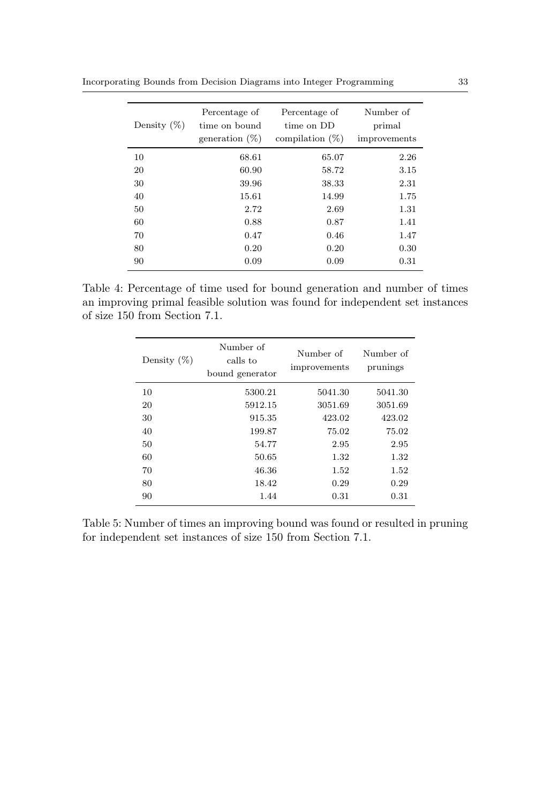| Density $(\%)$ | Percentage of<br>time on bound<br>generation $(\%)$ | Percentage of<br>time on DD<br>compilation $(\%)$ | Number of<br>primal<br>improvements |
|----------------|-----------------------------------------------------|---------------------------------------------------|-------------------------------------|
| 10             | 68.61                                               | 65.07                                             | 2.26                                |
| 20             | 60.90                                               | 58.72                                             | 3.15                                |
| 30             | 39.96                                               | 38.33                                             | 2.31                                |
| 40             | 15.61                                               | 14.99                                             | 1.75                                |
| 50             | 2.72                                                | 2.69                                              | 1.31                                |
| 60             | 0.88                                                | 0.87                                              | 1.41                                |
| 70             | 0.47                                                | 0.46                                              | 1.47                                |
| 80             | 0.20                                                | 0.20                                              | 0.30                                |
| 90             | 0.09                                                | 0.09                                              | 0.31                                |

Table 4: Percentage of time used for bound generation and number of times an improving primal feasible solution was found for independent set instances of size 150 from Section 7.1.

| Density $(\%)$ | Number of<br>calls to<br>bound generator | Number of<br>improvements | Number of<br>prunings |
|----------------|------------------------------------------|---------------------------|-----------------------|
| 10             | 5300.21                                  | 5041.30                   | 5041.30               |
| 20             | 5912.15                                  | 3051.69                   | 3051.69               |
| 30             | 915.35                                   | 423.02                    | 423.02                |
| 40             | 199.87                                   | 75.02                     | 75.02                 |
| 50             | 54.77                                    | 2.95                      | 2.95                  |
| 60             | 50.65                                    | 1.32                      | 1.32                  |
| 70             | 46.36                                    | 1.52                      | 1.52                  |
| 80             | 18.42                                    | 0.29                      | 0.29                  |
| 90             | 1.44                                     | 0.31                      | 0.31                  |

Table 5: Number of times an improving bound was found or resulted in pruning for independent set instances of size 150 from Section 7.1.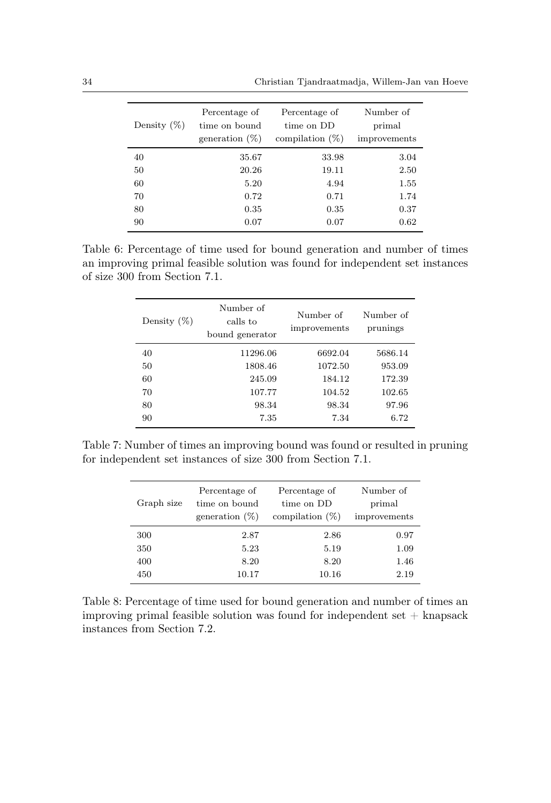| Density $(\%)$ | Percentage of<br>time on bound<br>generation $(\%)$ | Percentage of<br>time on DD<br>compilation $(\%)$ | Number of<br>primal<br>improvements |
|----------------|-----------------------------------------------------|---------------------------------------------------|-------------------------------------|
| 40             | 35.67                                               | 33.98                                             | 3.04                                |
| 50             | 20.26                                               | 19.11                                             | 2.50                                |
| 60             | 5.20                                                | 4.94                                              | 1.55                                |
| 70             | 0.72                                                | 0.71                                              | 1.74                                |
| 80             | 0.35                                                | 0.35                                              | 0.37                                |
| 90             | 0.07                                                | 0.07                                              | 0.62                                |

Table 6: Percentage of time used for bound generation and number of times an improving primal feasible solution was found for independent set instances of size 300 from Section 7.1.

| Density $(\%)$ | Number of<br>calls to<br>bound generator | Number of<br>improvements | Number of<br>prunings |
|----------------|------------------------------------------|---------------------------|-----------------------|
| 40             | 11296.06                                 | 6692.04                   | 5686.14               |
| 50             | 1808.46                                  | 1072.50                   | 953.09                |
| 60             | 245.09                                   | 184.12                    | 172.39                |
| 70             | 107.77                                   | 104.52                    | 102.65                |
| 80             | 98.34                                    | 98.34                     | 97.96                 |
| 90             | 7.35                                     | 7.34                      | 6.72                  |

Table 7: Number of times an improving bound was found or resulted in pruning for independent set instances of size 300 from Section 7.1.

| Graph size | Percentage of<br>time on bound<br>generation $(\%)$ | Percentage of<br>time on DD<br>compilation $(\%)$ | Number of<br>primal<br>improvements |
|------------|-----------------------------------------------------|---------------------------------------------------|-------------------------------------|
|            |                                                     |                                                   |                                     |
| 300        | 2.87                                                | 2.86                                              | 0.97                                |
| 350        | 5.23                                                | 5.19                                              | 1.09                                |
| 400        | 8.20                                                | 8.20                                              | 1.46                                |
| 450        | 10.17                                               | 10.16                                             | 2.19                                |

Table 8: Percentage of time used for bound generation and number of times an improving primal feasible solution was found for independent set  $+$  knapsack instances from Section 7.2.